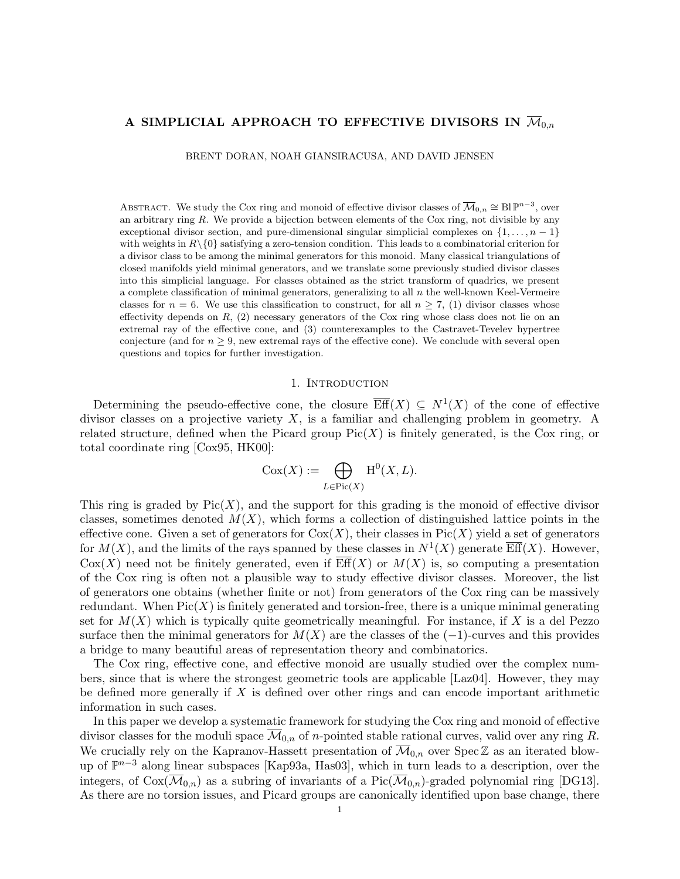# A SIMPLICIAL APPROACH TO EFFECTIVE DIVISORS IN  $\overline{\mathcal{M}}_{0,n}$

BRENT DORAN, NOAH GIANSIRACUSA, AND DAVID JENSEN

ABSTRACT. We study the Cox ring and monoid of effective divisor classes of  $\overline{\mathcal{M}}_{0,n} \cong \text{Bl } \mathbb{P}^{n-3}$ , over an arbitrary ring  $R$ . We provide a bijection between elements of the Cox ring, not divisible by any exceptional divisor section, and pure-dimensional singular simplicial complexes on  $\{1, \ldots, n-1\}$ with weights in  $R\setminus\{0\}$  satisfying a zero-tension condition. This leads to a combinatorial criterion for a divisor class to be among the minimal generators for this monoid. Many classical triangulations of closed manifolds yield minimal generators, and we translate some previously studied divisor classes into this simplicial language. For classes obtained as the strict transform of quadrics, we present a complete classification of minimal generators, generalizing to all  $n$  the well-known Keel-Vermeire classes for  $n = 6$ . We use this classification to construct, for all  $n \ge 7$ , (1) divisor classes whose effectivity depends on  $R$ , (2) necessary generators of the Cox ring whose class does not lie on an extremal ray of the effective cone, and (3) counterexamples to the Castravet-Tevelev hypertree conjecture (and for  $n \geq 9$ , new extremal rays of the effective cone). We conclude with several open questions and topics for further investigation.

#### 1. INTRODUCTION

Determining the pseudo-effective cone, the closure  $\overline{\text{Eff}}(X) \subseteq N^1(X)$  of the cone of effective divisor classes on a projective variety  $X$ , is a familiar and challenging problem in geometry. A related structure, defined when the Picard group  $Pic(X)$  is finitely generated, is the Cox ring, or total coordinate ring [Cox95, HK00]:

$$
Cox(X) := \bigoplus_{L \in Pic(X)} H^0(X, L).
$$

This ring is graded by  $Pic(X)$ , and the support for this grading is the monoid of effective divisor classes, sometimes denoted  $M(X)$ , which forms a collection of distinguished lattice points in the effective cone. Given a set of generators for  $Cox(X)$ , their classes in  $Pic(X)$  yield a set of generators for  $M(X)$ , and the limits of the rays spanned by these classes in  $N^1(X)$  generate  $\overline{\text{Eff}}(X)$ . However,  $Cox(X)$  need not be finitely generated, even if  $\overline{\text{Eff}}(X)$  or  $M(X)$  is, so computing a presentation of the Cox ring is often not a plausible way to study effective divisor classes. Moreover, the list of generators one obtains (whether finite or not) from generators of the Cox ring can be massively redundant. When  $Pic(X)$  is finitely generated and torsion-free, there is a unique minimal generating set for  $M(X)$  which is typically quite geometrically meaningful. For instance, if X is a del Pezzo surface then the minimal generators for  $M(X)$  are the classes of the  $(-1)$ -curves and this provides a bridge to many beautiful areas of representation theory and combinatorics.

The Cox ring, effective cone, and effective monoid are usually studied over the complex numbers, since that is where the strongest geometric tools are applicable [Laz04]. However, they may be defined more generally if  $X$  is defined over other rings and can encode important arithmetic information in such cases.

In this paper we develop a systematic framework for studying the Cox ring and monoid of effective divisor classes for the moduli space  $\overline{\mathcal{M}}_{0,n}$  of *n*-pointed stable rational curves, valid over any ring R. We crucially rely on the Kapranov-Hassett presentation of  $\overline{\mathcal{M}}_{0,n}$  over Spec Z as an iterated blowup of  $\mathbb{P}^{n-3}$  along linear subspaces [Kap93a, Has03], which in turn leads to a description, over the integers, of Cox( $\overline{\mathcal{M}}_{0,n}$ ) as a subring of invariants of a Pic( $\overline{\mathcal{M}}_{0,n}$ )-graded polynomial ring [DG13]. As there are no torsion issues, and Picard groups are canonically identified upon base change, there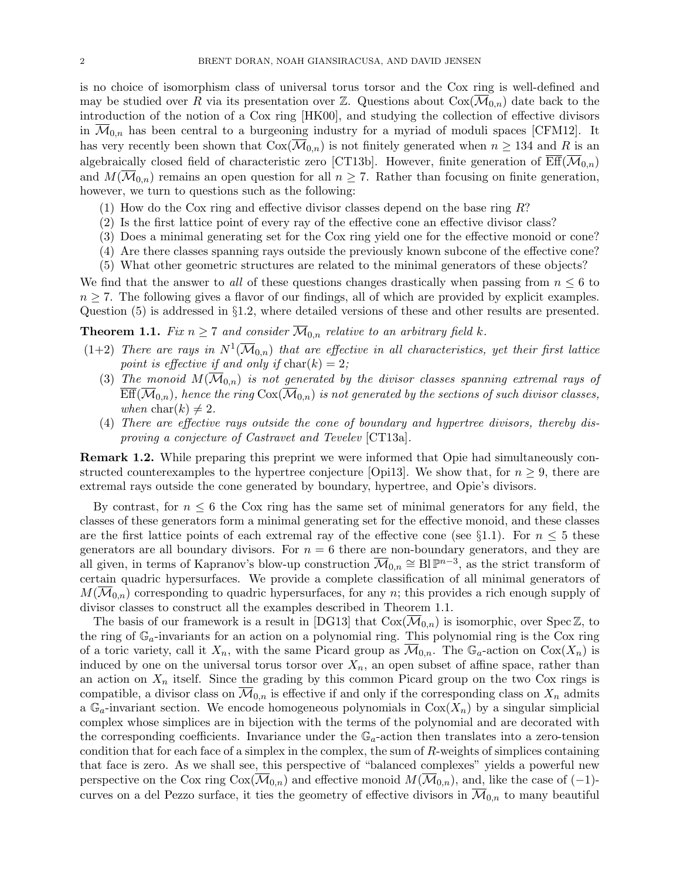is no choice of isomorphism class of universal torus torsor and the Cox ring is well-defined and may be studied over R via its presentation over Z. Questions about  $Cox(\mathcal{M}_{0,n})$  date back to the introduction of the notion of a Cox ring [HK00], and studying the collection of effective divisors in  $\mathcal{M}_{0,n}$  has been central to a burgeoning industry for a myriad of moduli spaces [CFM12]. It has very recently been shown that  $Cox(\overline{\mathcal{M}}_{0,n})$  is not finitely generated when  $n \geq 134$  and R is an algebraically closed field of characteristic zero [CT13b]. However, finite generation of  $\mathrm{Eff}(\mathcal{M}_{0,n})$ and  $M(\overline{\mathcal{M}}_{0,n})$  remains an open question for all  $n \geq 7$ . Rather than focusing on finite generation, however, we turn to questions such as the following:

- (1) How do the Cox ring and effective divisor classes depend on the base ring  $R$ ?
- (2) Is the first lattice point of every ray of the effective cone an effective divisor class?
- (3) Does a minimal generating set for the Cox ring yield one for the effective monoid or cone?
- (4) Are there classes spanning rays outside the previously known subcone of the effective cone?
- (5) What other geometric structures are related to the minimal generators of these objects?

We find that the answer to all of these questions changes drastically when passing from  $n \leq 6$  to  $n \geq 7$ . The following gives a flavor of our findings, all of which are provided by explicit examples. Question (5) is addressed in §1.2, where detailed versions of these and other results are presented.

**Theorem 1.1.** Fix  $n \geq 7$  and consider  $\overline{M}_{0,n}$  relative to an arbitrary field k.

- $(1+2)$  There are rays in  $N^1(\overline{\mathcal{M}}_{0,n})$  that are effective in all characteristics, yet their first lattice point is effective if and only if  $char(k) = 2$ ;
	- (3) The monoid  $M(\overline{\mathcal{M}}_{0,n})$  is not generated by the divisor classes spanning extremal rays of  $Eff(\mathcal{M}_{0,n})$ , hence the ring  $Cox(\mathcal{M}_{0,n})$  is not generated by the sections of such divisor classes, when  $\text{char}(k) \neq 2$ .
	- (4) There are effective rays outside the cone of boundary and hypertree divisors, thereby disproving a conjecture of Castravet and Tevelev [CT13a].

Remark 1.2. While preparing this preprint we were informed that Opie had simultaneously constructed counterexamples to the hypertree conjecture [Opi13]. We show that, for  $n \geq 9$ , there are extremal rays outside the cone generated by boundary, hypertree, and Opie's divisors.

By contrast, for  $n \leq 6$  the Cox ring has the same set of minimal generators for any field, the classes of these generators form a minimal generating set for the effective monoid, and these classes are the first lattice points of each extremal ray of the effective cone (see §1.1). For  $n \leq 5$  these generators are all boundary divisors. For  $n = 6$  there are non-boundary generators, and they are all given, in terms of Kapranov's blow-up construction  $\overline{\mathcal{M}}_{0,n} \cong \text{Bl }\mathbb{P}^{n-3}$ , as the strict transform of certain quadric hypersurfaces. We provide a complete classification of all minimal generators of  $M(\overline{\mathcal{M}}_{0,n})$  corresponding to quadric hypersurfaces, for any n; this provides a rich enough supply of divisor classes to construct all the examples described in Theorem 1.1.

The basis of our framework is a result in [DG13] that  $Cox(\mathcal{M}_{0,n})$  is isomorphic, over Spec Z, to the ring of  $\mathbb{G}_a$ -invariants for an action on a polynomial ring. This polynomial ring is the Cox ring of a toric variety, call it  $X_n$ , with the same Picard group as  $\mathcal{M}_{0,n}$ . The  $\mathbb{G}_a$ -action on  $Cox(X_n)$  is induced by one on the universal torus torsor over  $X_n$ , an open subset of affine space, rather than an action on  $X_n$  itself. Since the grading by this common Picard group on the two Cox rings is compatible, a divisor class on  $\mathcal{M}_{0,n}$  is effective if and only if the corresponding class on  $X_n$  admits a  $\mathbb{G}_a$ -invariant section. We encode homogeneous polynomials in  $Cox(X_n)$  by a singular simplicial complex whose simplices are in bijection with the terms of the polynomial and are decorated with the corresponding coefficients. Invariance under the  $\mathbb{G}_a$ -action then translates into a zero-tension condition that for each face of a simplex in the complex, the sum of  $R$ -weights of simplices containing that face is zero. As we shall see, this perspective of "balanced complexes" yields a powerful new perspective on the Cox ring  $Cox(\mathcal{M}_{0,n})$  and effective monoid  $M(\mathcal{M}_{0,n})$ , and, like the case of  $(-1)$ curves on a del Pezzo surface, it ties the geometry of effective divisors in  $\overline{\mathcal{M}}_{0,n}$  to many beautiful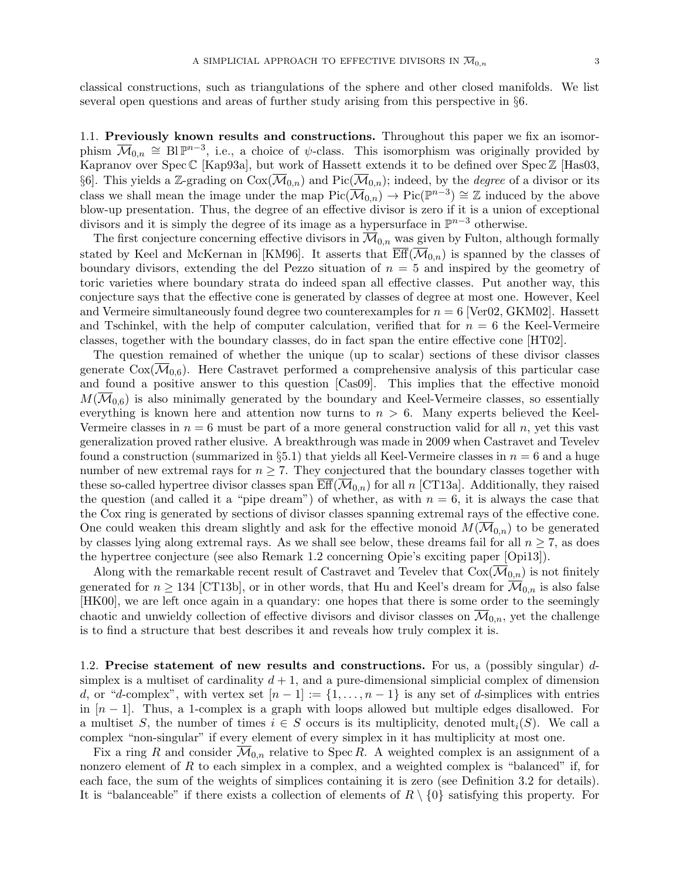classical constructions, such as triangulations of the sphere and other closed manifolds. We list several open questions and areas of further study arising from this perspective in §6.

1.1. Previously known results and constructions. Throughout this paper we fix an isomorphism  $\overline{\mathcal{M}}_{0,n} \cong \text{Bl }\mathbb{P}^{n-3}$ , i.e., a choice of  $\psi$ -class. This isomorphism was originally provided by Kapranov over Spec C [Kap93a], but work of Hassett extends it to be defined over Spec Z [Has03, §6. This yields a Z-grading on  $Cox(\overline{\mathcal{M}}_{0,n})$  and  $Pic(\overline{\mathcal{M}}_{0,n})$ ; indeed, by the *degree* of a divisor or its class we shall mean the image under the map  $Pic(\overline{\mathcal{M}}_{0,n}) \to Pic(\mathbb{P}^{n-3}) \cong \mathbb{Z}$  induced by the above blow-up presentation. Thus, the degree of an effective divisor is zero if it is a union of exceptional divisors and it is simply the degree of its image as a hypersurface in  $\mathbb{P}^{n-3}$  otherwise.

The first conjecture concerning effective divisors in  $\overline{\mathcal{M}}_{0,n}$  was given by Fulton, although formally stated by Keel and McKernan in [KM96]. It asserts that  $\overline{\text{Eff}}(\overline{\mathcal{M}}_{0,n})$  is spanned by the classes of boundary divisors, extending the del Pezzo situation of  $n = 5$  and inspired by the geometry of toric varieties where boundary strata do indeed span all effective classes. Put another way, this conjecture says that the effective cone is generated by classes of degree at most one. However, Keel and Vermeire simultaneously found degree two counterexamples for  $n = 6$  [Ver02, GKM02]. Hassett and Tschinkel, with the help of computer calculation, verified that for  $n = 6$  the Keel-Vermeire classes, together with the boundary classes, do in fact span the entire effective cone [HT02].

The question remained of whether the unique (up to scalar) sections of these divisor classes generate  $\text{Cox}(\mathcal{M}_{0,6})$ . Here Castravet performed a comprehensive analysis of this particular case and found a positive answer to this question [Cas09]. This implies that the effective monoid  $M(\overline{\mathcal{M}}_{0,6})$  is also minimally generated by the boundary and Keel-Vermeire classes, so essentially everything is known here and attention now turns to  $n > 6$ . Many experts believed the Keel-Vermeire classes in  $n = 6$  must be part of a more general construction valid for all n, yet this vast generalization proved rather elusive. A breakthrough was made in 2009 when Castravet and Tevelev found a construction (summarized in §5.1) that yields all Keel-Vermeire classes in  $n = 6$  and a huge number of new extremal rays for  $n \geq 7$ . They conjectured that the boundary classes together with these so-called hypertree divisor classes span  $\overline{\text{Eff}}(\overline{\mathcal{M}}_{0,n})$  for all n [CT13a]. Additionally, they raised the question (and called it a "pipe dream") of whether, as with  $n = 6$ , it is always the case that the Cox ring is generated by sections of divisor classes spanning extremal rays of the effective cone. One could weaken this dream slightly and ask for the effective monoid  $M(\mathcal{M}_{0,n})$  to be generated by classes lying along extremal rays. As we shall see below, these dreams fail for all  $n \geq 7$ , as does the hypertree conjecture (see also Remark 1.2 concerning Opie's exciting paper [Opi13]).

Along with the remarkable recent result of Castravet and Tevelev that  $Cox(\mathcal{M}_{0,n})$  is not finitely generated for  $n \geq 134$  [CT13b], or in other words, that Hu and Keel's dream for  $\overline{\mathcal{M}}_{0,n}$  is also false [HK00], we are left once again in a quandary: one hopes that there is some order to the seemingly chaotic and unwieldy collection of effective divisors and divisor classes on  $\overline{\mathcal{M}}_{0,n}$ , yet the challenge is to find a structure that best describes it and reveals how truly complex it is.

1.2. Precise statement of new results and constructions. For us, a (possibly singular)  $d$ simplex is a multiset of cardinality  $d+1$ , and a pure-dimensional simplicial complex of dimension d, or "d-complex", with vertex set  $[n-1] := \{1, \ldots, n-1\}$  is any set of d-simplices with entries in  $[n-1]$ . Thus, a 1-complex is a graph with loops allowed but multiple edges disallowed. For a multiset S, the number of times  $i \in S$  occurs is its multiplicity, denoted mult<sub>i</sub>(S). We call a complex "non-singular" if every element of every simplex in it has multiplicity at most one.

Fix a ring R and consider  $\overline{\mathcal{M}}_{0,n}$  relative to Spec R. A weighted complex is an assignment of a nonzero element of  $R$  to each simplex in a complex, and a weighted complex is "balanced" if, for each face, the sum of the weights of simplices containing it is zero (see Definition 3.2 for details). It is "balanceable" if there exists a collection of elements of  $R \setminus \{0\}$  satisfying this property. For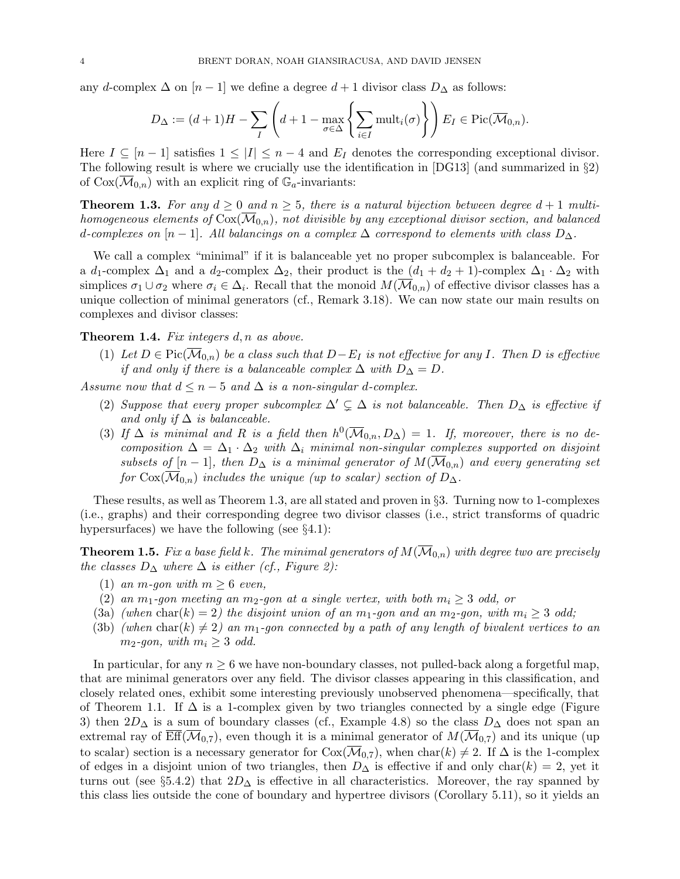any d-complex  $\Delta$  on  $[n-1]$  we define a degree  $d+1$  divisor class  $D_{\Delta}$  as follows:

$$
D_{\Delta} := (d+1)H - \sum_{I} \left( d + 1 - \max_{\sigma \in \Delta} \left\{ \sum_{i \in I} \text{mult}_i(\sigma) \right\} \right) E_I \in \text{Pic}(\overline{\mathcal{M}}_{0,n}).
$$

Here  $I \subseteq [n-1]$  satisfies  $1 \leq |I| \leq n-4$  and  $E_I$  denotes the corresponding exceptional divisor. The following result is where we crucially use the identification in [DG13] (and summarized in §2) of  $Cox(\overline{\mathcal{M}}_{0,n})$  with an explicit ring of  $\mathbb{G}_a$ -invariants:

**Theorem 1.3.** For any  $d \geq 0$  and  $n \geq 5$ , there is a natural bijection between degree  $d+1$  multihomogeneous elements of  $Cox(\overline{\mathcal{M}}_{0,n})$ , not divisible by any exceptional divisor section, and balanced d-complexes on  $[n-1]$ . All balancings on a complex  $\Delta$  correspond to elements with class  $D_{\Delta}$ .

We call a complex "minimal" if it is balanceable yet no proper subcomplex is balanceable. For a d<sub>1</sub>-complex  $\Delta_1$  and a d<sub>2</sub>-complex  $\Delta_2$ , their product is the  $(d_1 + d_2 + 1)$ -complex  $\Delta_1 \cdot \Delta_2$  with simplices  $\sigma_1 \cup \sigma_2$  where  $\sigma_i \in \Delta_i$ . Recall that the monoid  $M(\overline{\mathcal{M}}_{0,n})$  of effective divisor classes has a unique collection of minimal generators (cf., Remark 3.18). We can now state our main results on complexes and divisor classes:

**Theorem 1.4.** Fix integers  $d, n$  as above.

(1) Let  $D \in Pic(M_{0,n})$  be a class such that  $D-E_I$  is not effective for any I. Then D is effective if and only if there is a balanceable complex  $\Delta$  with  $D_{\Delta} = D$ .

Assume now that  $d \leq n-5$  and  $\Delta$  is a non-singular d-complex.

- (2) Suppose that every proper subcomplex  $\Delta' \subsetneq \Delta$  is not balanceable. Then  $D_{\Delta}$  is effective if and only if  $\Delta$  is balanceable.
- (3) If  $\Delta$  is minimal and R is a field then  $h^0(\overline{\mathcal{M}}_{0,n}, D_{\Delta}) = 1$ . If, moreover, there is no decomposition  $\Delta = \Delta_1 \cdot \Delta_2$  with  $\Delta_i$  minimal non-singular complexes supported on disjoint subsets of  $[n-1]$ , then  $D_{\Delta}$  is a minimal generator of  $M(\mathcal{M}_{0,n})$  and every generating set for  $Cox(\overline{\mathcal{M}}_{0,n})$  includes the unique (up to scalar) section of  $D_{\Delta}$ .

These results, as well as Theorem 1.3, are all stated and proven in §3. Turning now to 1-complexes (i.e., graphs) and their corresponding degree two divisor classes (i.e., strict transforms of quadric hypersurfaces) we have the following (see  $\S 4.1$ ):

**Theorem 1.5.** Fix a base field k. The minimal generators of  $M(\mathcal{M}_{0,n})$  with degree two are precisely the classes  $D_{\Delta}$  where  $\Delta$  is either (cf., Figure 2):

- (1) an m-gon with  $m \geq 6$  even,
- (2) an  $m_1$ -gon meeting an  $m_2$ -gon at a single vertex, with both  $m_i \geq 3$  odd, or
- (3a) (when char(k) = 2) the disjoint union of an  $m_1$ -gon and an  $m_2$ -gon, with  $m_i \geq 3$  odd;
- (3b) (when char(k)  $\neq$  2) an m<sub>1</sub>-gon connected by a path of any length of bivalent vertices to an  $m_2$ -gon, with  $m_i \geq 3$  odd.

In particular, for any  $n \geq 6$  we have non-boundary classes, not pulled-back along a forgetful map, that are minimal generators over any field. The divisor classes appearing in this classification, and closely related ones, exhibit some interesting previously unobserved phenomena—specifically, that of Theorem 1.1. If  $\Delta$  is a 1-complex given by two triangles connected by a single edge (Figure 3) then  $2D_\Delta$  is a sum of boundary classes (cf., Example 4.8) so the class  $D_\Delta$  does not span an extremal ray of  $Eff(\overline{\mathcal{M}}_{0,7})$ , even though it is a minimal generator of  $M(\overline{\mathcal{M}}_{0,7})$  and its unique (up to scalar) section is a necessary generator for  $Cox(\mathcal{M}_{0.7})$ , when  $char(k) \neq 2$ . If  $\Delta$  is the 1-complex of edges in a disjoint union of two triangles, then  $D_{\Delta}$  is effective if and only char $(k) = 2$ , yet it turns out (see §5.4.2) that  $2D_{\Delta}$  is effective in all characteristics. Moreover, the ray spanned by this class lies outside the cone of boundary and hypertree divisors (Corollary 5.11), so it yields an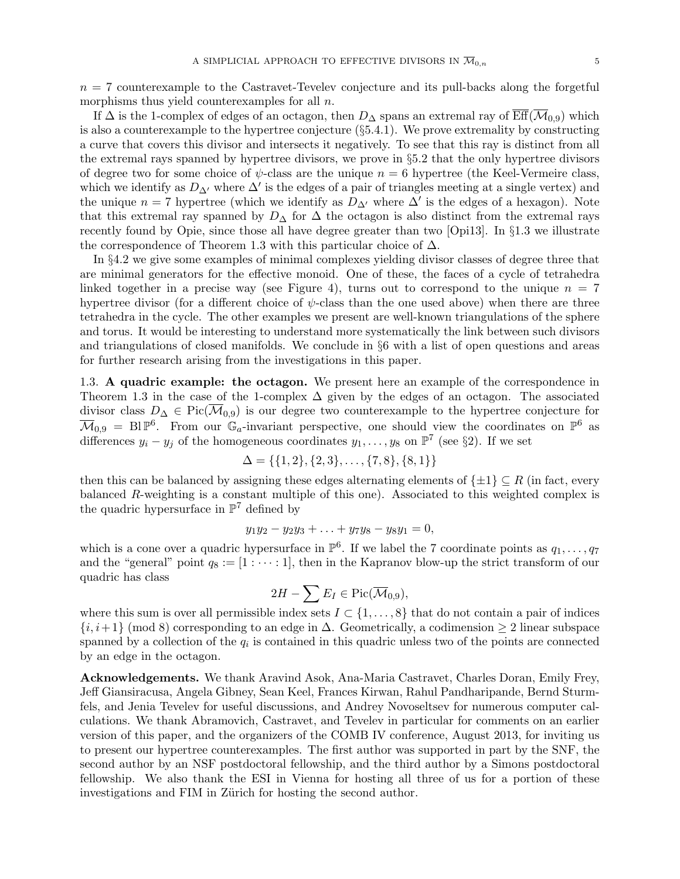$n = 7$  counterexample to the Castravet-Tevelev conjecture and its pull-backs along the forgetful morphisms thus yield counterexamples for all n.

If  $\Delta$  is the 1-complex of edges of an octagon, then  $D_{\Delta}$  spans an extremal ray of  $\overline{\text{Eff}}(\overline{\mathcal{M}}_{0,9})$  which is also a counterexample to the hypertree conjecture (§5.4.1). We prove extremality by constructing a curve that covers this divisor and intersects it negatively. To see that this ray is distinct from all the extremal rays spanned by hypertree divisors, we prove in §5.2 that the only hypertree divisors of degree two for some choice of  $\psi$ -class are the unique  $n = 6$  hypertree (the Keel-Vermeire class, which we identify as  $D_{\Delta}$  where  $\Delta'$  is the edges of a pair of triangles meeting at a single vertex) and the unique  $n = 7$  hypertree (which we identify as  $D_{\Delta}$  where  $\Delta'$  is the edges of a hexagon). Note that this extremal ray spanned by  $D_{\Delta}$  for  $\Delta$  the octagon is also distinct from the extremal rays recently found by Opie, since those all have degree greater than two [Opi13]. In §1.3 we illustrate the correspondence of Theorem 1.3 with this particular choice of  $\Delta$ .

In §4.2 we give some examples of minimal complexes yielding divisor classes of degree three that are minimal generators for the effective monoid. One of these, the faces of a cycle of tetrahedra linked together in a precise way (see Figure 4), turns out to correspond to the unique  $n = 7$ hypertree divisor (for a different choice of  $\psi$ -class than the one used above) when there are three tetrahedra in the cycle. The other examples we present are well-known triangulations of the sphere and torus. It would be interesting to understand more systematically the link between such divisors and triangulations of closed manifolds. We conclude in §6 with a list of open questions and areas for further research arising from the investigations in this paper.

1.3. A quadric example: the octagon. We present here an example of the correspondence in Theorem 1.3 in the case of the 1-complex  $\Delta$  given by the edges of an octagon. The associated divisor class  $D_{\Delta} \in Pic(\overline{\mathcal{M}}_{0,9})$  is our degree two counterexample to the hypertree conjecture for  $\overline{\mathcal{M}}_{0,9} = \text{Bl}\,\mathbb{P}^6$ . From our  $\mathbb{G}_a$ -invariant perspective, one should view the coordinates on  $\mathbb{P}^6$  as differences  $y_i - y_j$  of the homogeneous coordinates  $y_1, \ldots, y_8$  on  $\mathbb{P}^7$  (see §2). If we set

$$
\Delta = \{\{1, 2\}, \{2, 3\}, \dots, \{7, 8\}, \{8, 1\}\}\
$$

then this can be balanced by assigning these edges alternating elements of  $\{\pm 1\} \subseteq R$  (in fact, every balanced R-weighting is a constant multiple of this one). Associated to this weighted complex is the quadric hypersurface in  $\mathbb{P}^7$  defined by

$$
y_1y_2 - y_2y_3 + \ldots + y_7y_8 - y_8y_1 = 0,
$$

which is a cone over a quadric hypersurface in  $\mathbb{P}^6$ . If we label the 7 coordinate points as  $q_1, \ldots, q_7$ and the "general" point  $q_8 := [1 : \cdots : 1]$ , then in the Kapranov blow-up the strict transform of our quadric has class

$$
2H - \sum E_I \in \mathrm{Pic}(\overline{\mathcal{M}}_{0,9}),
$$

where this sum is over all permissible index sets  $I \subset \{1, \ldots, 8\}$  that do not contain a pair of indices  $\{i, i+1\}$  (mod 8) corresponding to an edge in  $\Delta$ . Geometrically, a codimension  $\geq 2$  linear subspace spanned by a collection of the  $q_i$  is contained in this quadric unless two of the points are connected by an edge in the octagon.

Acknowledgements. We thank Aravind Asok, Ana-Maria Castravet, Charles Doran, Emily Frey, Jeff Giansiracusa, Angela Gibney, Sean Keel, Frances Kirwan, Rahul Pandharipande, Bernd Sturmfels, and Jenia Tevelev for useful discussions, and Andrey Novoseltsev for numerous computer calculations. We thank Abramovich, Castravet, and Tevelev in particular for comments on an earlier version of this paper, and the organizers of the COMB IV conference, August 2013, for inviting us to present our hypertree counterexamples. The first author was supported in part by the SNF, the second author by an NSF postdoctoral fellowship, and the third author by a Simons postdoctoral fellowship. We also thank the ESI in Vienna for hosting all three of us for a portion of these investigations and FIM in Zürich for hosting the second author.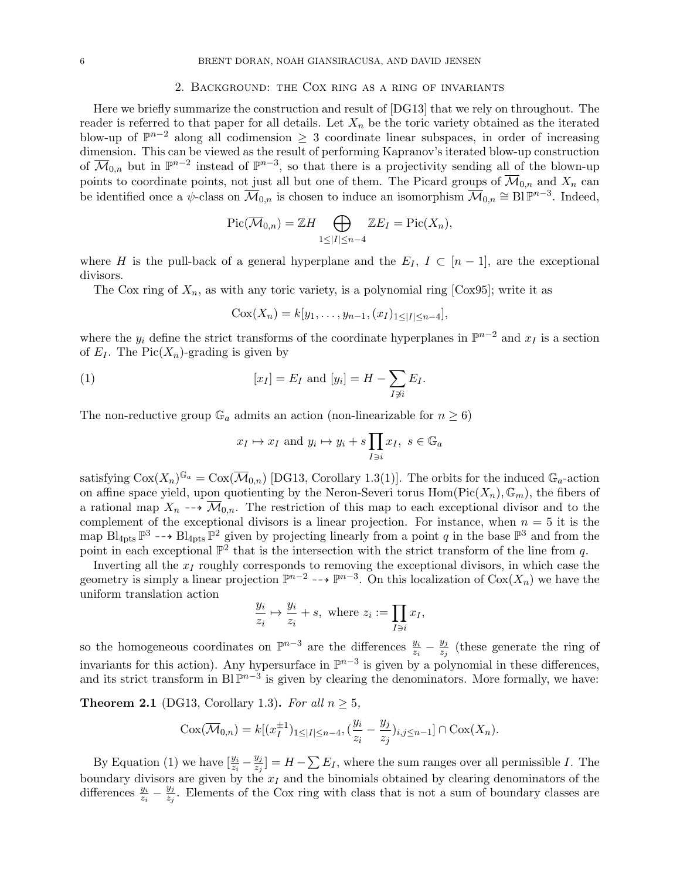#### 2. Background: the Cox ring as a ring of invariants

Here we briefly summarize the construction and result of [DG13] that we rely on throughout. The reader is referred to that paper for all details. Let  $X_n$  be the toric variety obtained as the iterated blow-up of  $\mathbb{P}^{n-2}$  along all codimension  $\geq 3$  coordinate linear subspaces, in order of increasing dimension. This can be viewed as the result of performing Kapranov's iterated blow-up construction of  $\overline{\mathcal{M}}_{0,n}$  but in  $\mathbb{P}^{n-2}$  instead of  $\mathbb{P}^{n-3}$ , so that there is a projectivity sending all of the blown-up points to coordinate points, not just all but one of them. The Picard groups of  $\overline{\mathcal{M}}_{0,n}$  and  $X_n$  can be identified once a  $\psi$ -class on  $\overline{\mathcal{M}}_{0,n}$  is chosen to induce an isomorphism  $\overline{\mathcal{M}}_{0,n} \cong \text{Bl}\,\mathbb{P}^{n-3}$ . Indeed,

$$
\operatorname{Pic}(\overline{\mathcal{M}}_{0,n}) = \mathbb{Z}H \bigoplus_{1 \leq |I| \leq n-4} \mathbb{Z}E_I = \operatorname{Pic}(X_n),
$$

where H is the pull-back of a general hyperplane and the  $E_I$ ,  $I \subset [n-1]$ , are the exceptional divisors.

The Cox ring of  $X_n$ , as with any toric variety, is a polynomial ring [Cox95]; write it as

$$
Cox(X_n) = k[y_1, \ldots, y_{n-1}, (x_I)_{1 \leq |I| \leq n-4}],
$$

where the  $y_i$  define the strict transforms of the coordinate hyperplanes in  $\mathbb{P}^{n-2}$  and  $x_I$  is a section of  $E_I$ . The Pic $(X_n)$ -grading is given by

(1) 
$$
[x_I] = E_I \text{ and } [y_i] = H - \sum_{I \not\ni i} E_I.
$$

The non-reductive group  $\mathbb{G}_a$  admits an action (non-linearizable for  $n \geq 6$ )

$$
x_I \mapsto x_I
$$
 and  $y_i \mapsto y_i + s \prod_{I \ni i} x_I$ ,  $s \in \mathbb{G}_a$ 

satisfying  $Cox(X_n)^{\mathbb{G}_a} = \text{Cox}(\overline{\mathcal{M}}_{0,n})$  [DG13, Corollary 1.3(1)]. The orbits for the induced  $\mathbb{G}_a$ -action on affine space yield, upon quotienting by the Neron-Severi torus  $Hom(Pic(X_n), \mathbb{G}_m)$ , the fibers of a rational map  $X_n \dashrightarrow \overline{\mathcal{M}}_{0,n}$ . The restriction of this map to each exceptional divisor and to the complement of the exceptional divisors is a linear projection. For instance, when  $n = 5$  it is the map  $Bl_{4pts} \mathbb{P}^3 \dashrightarrow Bl_{4pts} \mathbb{P}^2$  given by projecting linearly from a point q in the base  $\mathbb{P}^3$  and from the point in each exceptional  $\mathbb{P}^2$  that is the intersection with the strict transform of the line from q.

Inverting all the  $x_I$  roughly corresponds to removing the exceptional divisors, in which case the geometry is simply a linear projection  $\mathbb{P}^{n-2}$  -→  $\mathbb{P}^{n-3}$ . On this localization of  $Cox(X_n)$  we have the uniform translation action

$$
\frac{y_i}{z_i} \mapsto \frac{y_i}{z_i} + s, \text{ where } z_i := \prod_{I \ni i} x_I,
$$

so the homogeneous coordinates on  $\mathbb{P}^{n-3}$  are the differences  $\frac{y_i}{z_i} - \frac{y_j}{z_j}$  $\frac{y_j}{z_j}$  (these generate the ring of invariants for this action). Any hypersurface in  $\mathbb{P}^{n-3}$  is given by a polynomial in these differences, and its strict transform in Bl $\mathbb{P}^{n-3}$  is given by clearing the denominators. More formally, we have:

**Theorem 2.1** (DG13, Corollary 1.3). For all  $n \geq 5$ ,

$$
Cox(\overline{\mathcal{M}}_{0,n}) = k[(x_I^{\pm 1})_{1 \leq |I| \leq n-4}, (\frac{y_i}{z_i} - \frac{y_j}{z_j})_{i,j \leq n-1}] \cap \text{Cox}(X_n).
$$

By Equation (1) we have  $\left[\frac{y_i}{z_i} - \frac{y_j}{z_j}\right]$  $\frac{y_j}{z_j}$  =  $H - \sum E_I$ , where the sum ranges over all permissible I. The boundary divisors are given by the  $x_I$  and the binomials obtained by clearing denominators of the differences  $\frac{y_i}{z_i} - \frac{y_j}{z_j}$  $\frac{y_j}{z_j}$ . Elements of the Cox ring with class that is not a sum of boundary classes are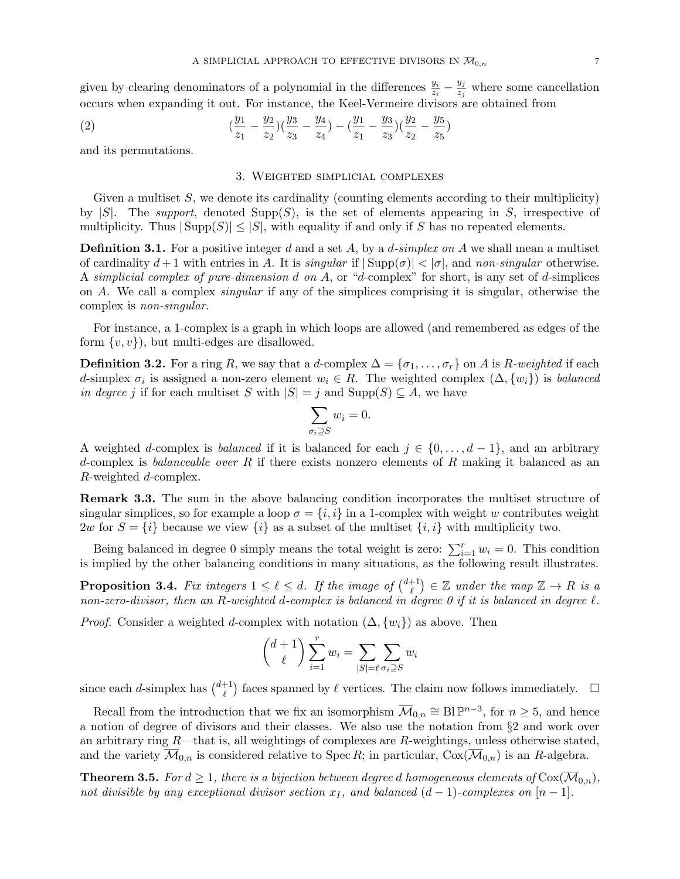given by clearing denominators of a polynomial in the differences  $\frac{y_i}{z_i} - \frac{y_j}{z_j}$  $\frac{y_j}{z_j}$  where some cancellation occurs when expanding it out. For instance, the Keel-Vermeire divisors are obtained from

(2) 
$$
\left(\frac{y_1}{z_1} - \frac{y_2}{z_2}\right)\left(\frac{y_3}{z_3} - \frac{y_4}{z_4}\right) - \left(\frac{y_1}{z_1} - \frac{y_3}{z_3}\right)\left(\frac{y_2}{z_2} - \frac{y_5}{z_5}\right)
$$

and its permutations.

## 3. Weighted simplicial complexes

Given a multiset  $S$ , we denote its cardinality (counting elements according to their multiplicity) by  $|S|$ . The support, denoted Supp $(S)$ , is the set of elements appearing in S, irrespective of multiplicity. Thus  $|\text{Supp}(S)| \leq |S|$ , with equality if and only if S has no repeated elements.

**Definition 3.1.** For a positive integer d and a set A, by a d-simplex on A we shall mean a multiset of cardinality  $d+1$  with entries in A. It is singular if  $|\text{Supp}(\sigma)| < |\sigma|$ , and non-singular otherwise. A simplicial complex of pure-dimension d on A, or "d-complex" for short, is any set of d-simplices on A. We call a complex singular if any of the simplices comprising it is singular, otherwise the complex is non-singular.

For instance, a 1-complex is a graph in which loops are allowed (and remembered as edges of the form  $\{v, v\}$ , but multi-edges are disallowed.

**Definition 3.2.** For a ring R, we say that a d-complex  $\Delta = {\sigma_1, \ldots, \sigma_r}$  on A is R-weighted if each d-simplex  $\sigma_i$  is assigned a non-zero element  $w_i \in R$ . The weighted complex  $(\Delta, \{w_i\})$  is balanced in degree j if for each multiset S with  $|S| = j$  and  $\text{Supp}(S) \subseteq A$ , we have

$$
\sum_{\sigma_i \supseteq S} w_i = 0.
$$

A weighted d-complex is balanced if it is balanced for each  $j \in \{0, \ldots, d-1\}$ , and an arbitrary d-complex is balanceable over R if there exists nonzero elements of R making it balanced as an R-weighted d-complex.

Remark 3.3. The sum in the above balancing condition incorporates the multiset structure of singular simplices, so for example a loop  $\sigma = \{i, i\}$  in a 1-complex with weight w contributes weight 2w for  $S = \{i\}$  because we view  $\{i\}$  as a subset of the multiset  $\{i, i\}$  with multiplicity two.

Being balanced in degree 0 simply means the total weight is zero:  $\sum_{i=1}^{r} w_i = 0$ . This condition is implied by the other balancing conditions in many situations, as the following result illustrates.

**Proposition 3.4.** Fix integers  $1 \leq \ell \leq d$ . If the image of  $\binom{d+1}{\ell}$  $\ell^{+1}_{\ell}$   $)\in \mathbb{Z}$  under the map  $\mathbb{Z} \to R$  is a non-zero-divisor, then an R-weighted d-complex is balanced in degree 0 if it is balanced in degree  $\ell$ .

*Proof.* Consider a weighted d-complex with notation  $(\Delta, \{w_i\})$  as above. Then

$$
\binom{d+1}{\ell} \sum_{i=1}^r w_i = \sum_{|S| = \ell} \sum_{\sigma_i \supseteq S} w_i
$$

since each *d*-simplex has  $\binom{d+1}{\ell}$ <sup>+1</sup>) faces spanned by  $\ell$  vertices. The claim now follows immediately.  $\Box$ 

Recall from the introduction that we fix an isomorphism  $\overline{\mathcal{M}}_{0,n} \cong \text{Bl } \mathbb{P}^{n-3}$ , for  $n \geq 5$ , and hence a notion of degree of divisors and their classes. We also use the notation from §2 and work over an arbitrary ring  $R$ —that is, all weightings of complexes are  $R$ -weightings, unless otherwise stated, and the variety  $\overline{\mathcal{M}}_{0,n}$  is considered relative to Spec R; in particular,  $Cox(\overline{\mathcal{M}}_{0,n})$  is an R-algebra.

**Theorem 3.5.** For  $d \geq 1$ , there is a bijection between degree d homogeneous elements of  $Cox(\overline{M}_{0,n})$ , not divisible by any exceptional divisor section  $x_I$ , and balanced  $(d-1)$ -complexes on  $[n-1]$ .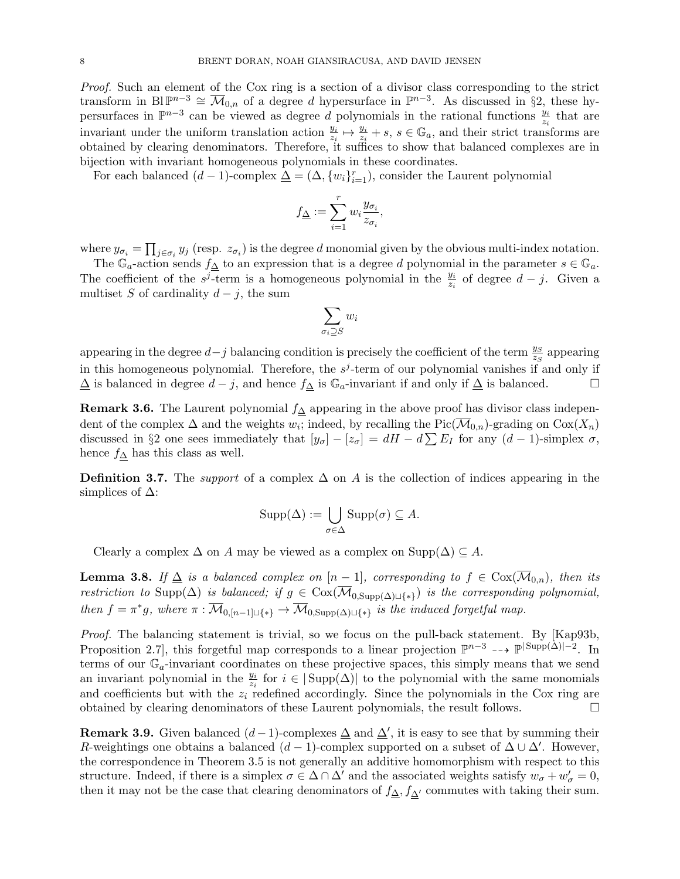Proof. Such an element of the Cox ring is a section of a divisor class corresponding to the strict transform in Bl $\mathbb{P}^{n-3} \cong \overline{\mathcal{M}}_{0,n}$  of a degree d hypersurface in  $\mathbb{P}^{n-3}$ . As discussed in §2, these hypersurfaces in  $\mathbb{P}^{n-3}$  can be viewed as degree d polynomials in the rational functions  $\frac{y_i}{z_i}$  that are invariant under the uniform translation action  $\frac{y_i}{z_i} \mapsto \frac{y_i}{z_i} + s$ ,  $s \in \mathbb{G}_a$ , and their strict transforms are obtained by clearing denominators. Therefore, it suffices to show that balanced complexes are in bijection with invariant homogeneous polynomials in these coordinates.

For each balanced  $(d-1)$ -complex  $\Delta = (\Delta, \{w_i\}_{i=1}^r)$ , consider the Laurent polynomial

$$
f_{\underline{\Delta}}:=\sum_{i=1}^r w_i \frac{y_{\sigma_i}}{z_{\sigma_i}}
$$

,

where  $y_{\sigma_i} = \prod_{j \in \sigma_i} y_j$  (resp.  $z_{\sigma_i}$ ) is the degree d monomial given by the obvious multi-index notation.

The  $\mathbb{G}_a$ -action sends  $f_\Delta$  to an expression that is a degree d polynomial in the parameter  $s \in \mathbb{G}_a$ . The coefficient of the  $s^{j}$ -term is a homogeneous polynomial in the  $\frac{y_{i}}{z_{i}}$  of degree  $d-j$ . Given a multiset S of cardinality  $d - j$ , the sum

$$
\sum_{\sigma_i \supseteq S} w_i
$$

appearing in the degree  $d-j$  balancing condition is precisely the coefficient of the term  $\frac{y_S}{z_S}$  appearing in this homogeneous polynomial. Therefore, the  $s^j$ -term of our polynomial vanishes if and only if  $\Delta$  is balanced in degree  $d - j$ , and hence  $f_{\Delta}$  is  $\mathbb{G}_a$ -invariant if and only if  $\Delta$  is balanced.  $\square$ 

Remark 3.6. The Laurent polynomial  $f$ <sup> $\Delta$ </sup> appearing in the above proof has divisor class independent of the complex  $\Delta$  and the weights  $w_i$ ; indeed, by recalling the Pic( $\overline{\mathcal{M}}_{0,n}$ )-grading on  $Cox(X_n)$ discussed in §2 one sees immediately that  $[y_{\sigma}] - [z_{\sigma}] = dH - d\sum E_I$  for any  $(d-1)$ -simplex  $\sigma$ , hence  $f_{\Delta}$  has this class as well.

**Definition 3.7.** The *support* of a complex  $\Delta$  on A is the collection of indices appearing in the simplices of  $\Delta$ :

$$
Supp(\Delta) := \bigcup_{\sigma \in \Delta} Supp(\sigma) \subseteq A.
$$

Clearly a complex  $\Delta$  on A may be viewed as a complex on Supp( $\Delta$ )  $\subseteq$  A.

**Lemma 3.8.** If  $\Delta$  is a balanced complex on  $[n-1]$ , corresponding to  $f \in \text{Cox}(\overline{\mathcal{M}}_{0,n})$ , then its restriction to Supp( $\Delta$ ) is balanced; if  $g \in \text{Cox}(\overline{\mathcal{M}}_{0, \text{Supp}(\Delta) \sqcup \{*\}})$  is the corresponding polynomial, then  $f = \pi^*g$ , where  $\pi : \overline{\mathcal{M}}_{0,[n-1]\sqcup\{*\}} \to \overline{\mathcal{M}}_{0, \text{Supp}(\Delta)\sqcup\{*\}}$  is the induced forgetful map.

Proof. The balancing statement is trivial, so we focus on the pull-back statement. By [Kap93b, Proposition 2.7, this forgetful map corresponds to a linear projection  $\mathbb{P}^{n-3}$  -- $\rightarrow \mathbb{P}^{|{\rm Supp}(\Delta)|-2}$ . In terms of our  $\mathbb{G}_a$ -invariant coordinates on these projective spaces, this simply means that we send an invariant polynomial in the  $\frac{y_i}{z_i}$  for  $i \in |\text{Supp}(\Delta)|$  to the polynomial with the same monomials and coefficients but with the  $z_i$  redefined accordingly. Since the polynomials in the Cox ring are obtained by clearing denominators of these Laurent polynomials, the result follows.

**Remark 3.9.** Given balanced  $(d-1)$ -complexes  $\Delta$  and  $\Delta'$ , it is easy to see that by summing their R-weightings one obtains a balanced  $(d-1)$ -complex supported on a subset of  $\Delta \cup \Delta'$ . However, the correspondence in Theorem 3.5 is not generally an additive homomorphism with respect to this structure. Indeed, if there is a simplex  $\sigma \in \Delta \cap \Delta'$  and the associated weights satisfy  $w_{\sigma} + w_{\sigma}' = 0$ , then it may not be the case that clearing denominators of  $f_{\Delta}$ ,  $f_{\Delta'}$  commutes with taking their sum.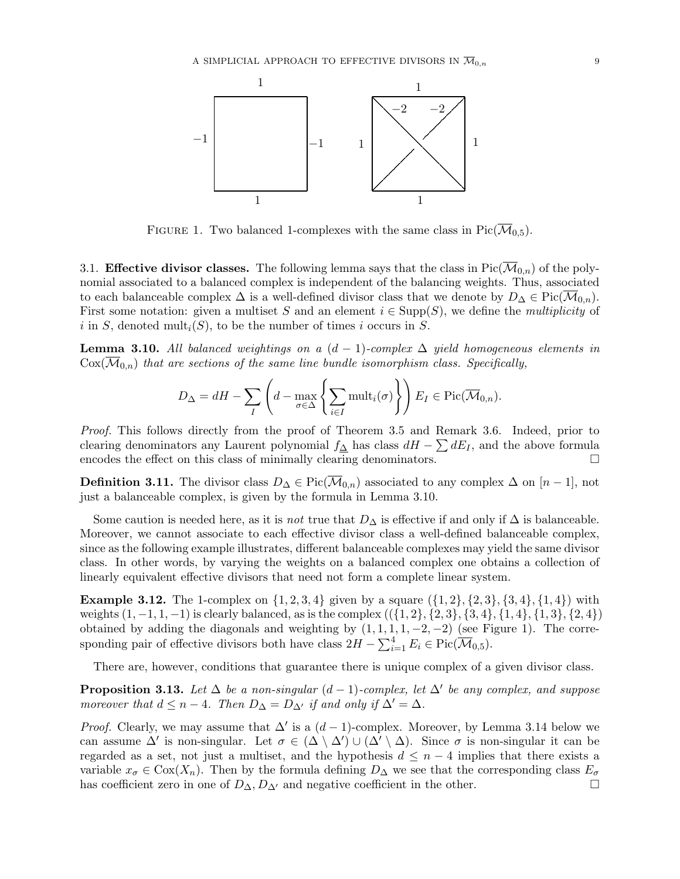

FIGURE 1. Two balanced 1-complexes with the same class in Pic( $\overline{\mathcal{M}}_{0,5}$ ).

3.1. **Effective divisor classes.** The following lemma says that the class in  $Pic(\overline{\mathcal{M}}_{0,n})$  of the polynomial associated to a balanced complex is independent of the balancing weights. Thus, associated to each balanceable complex  $\Delta$  is a well-defined divisor class that we denote by  $D_{\Delta} \in \text{Pic}(\mathcal{M}_{0,n})$ . First some notation: given a multiset S and an element  $i \in \text{Supp}(S)$ , we define the *multiplicity* of i in S, denoted mult<sub>i</sub> $(S)$ , to be the number of times i occurs in S.

**Lemma 3.10.** All balanced weightings on a  $(d-1)$ -complex  $\Delta$  yield homogeneous elements in  $\text{Cox}(\overline{\mathcal{M}}_{0,n})$  that are sections of the same line bundle isomorphism class. Specifically,

$$
D_{\Delta} = dH - \sum_{I} \left( d - \max_{\sigma \in \Delta} \left\{ \sum_{i \in I} \text{mult}_{i}(\sigma) \right\} \right) E_{I} \in \text{Pic}(\overline{\mathcal{M}}_{0,n}).
$$

Proof. This follows directly from the proof of Theorem 3.5 and Remark 3.6. Indeed, prior to clearing denominators any Laurent polynomial  $f_{\Delta}$  has class  $dH - \sum dE_I$ , and the above formula encodes the effect on this class of minimally clearing denominators.

**Definition 3.11.** The divisor class  $D_{\Delta} \in Pic(\overline{\mathcal{M}}_{0,n})$  associated to any complex  $\Delta$  on  $[n-1]$ , not just a balanceable complex, is given by the formula in Lemma 3.10.

Some caution is needed here, as it is *not* true that  $D_{\Delta}$  is effective if and only if  $\Delta$  is balanceable. Moreover, we cannot associate to each effective divisor class a well-defined balanceable complex, since as the following example illustrates, different balanceable complexes may yield the same divisor class. In other words, by varying the weights on a balanced complex one obtains a collection of linearly equivalent effective divisors that need not form a complete linear system.

**Example 3.12.** The 1-complex on  $\{1, 2, 3, 4\}$  given by a square  $(\{1, 2\}, \{2, 3\}, \{3, 4\}, \{1, 4\})$  with weights  $(1, -1, 1, -1)$  is clearly balanced, as is the complex  $((\{1, 2\}, \{2, 3\}, \{3, 4\}, \{1, 4\}, \{1, 3\}, \{2, 4\})$ obtained by adding the diagonals and weighting by  $(1, 1, 1, 1, -2, -2)$  (see Figure 1). The corresponding pair of effective divisors both have class  $2H - \sum_{i=1}^{4} E_i \in Pic(\overline{\mathcal{M}}_{0,5}).$ 

There are, however, conditions that guarantee there is unique complex of a given divisor class.

**Proposition 3.13.** Let  $\Delta$  be a non-singular  $(d-1)$ -complex, let  $\Delta'$  be any complex, and suppose moreover that  $d \leq n-4$ . Then  $D_{\Delta} = D_{\Delta'}$  if and only if  $\Delta' = \Delta$ .

*Proof.* Clearly, we may assume that  $\Delta'$  is a  $(d-1)$ -complex. Moreover, by Lemma 3.14 below we can assume  $\Delta'$  is non-singular. Let  $\sigma \in (\Delta \setminus \Delta') \cup (\Delta' \setminus \Delta)$ . Since  $\sigma$  is non-singular it can be regarded as a set, not just a multiset, and the hypothesis  $d \leq n-4$  implies that there exists a variable  $x_{\sigma} \in \text{Cox}(X_n)$ . Then by the formula defining  $D_{\Delta}$  we see that the corresponding class  $E_{\sigma}$ has coefficient zero in one of  $D_{\Delta}$ ,  $D_{\Delta'}$  and negative coefficient in the other.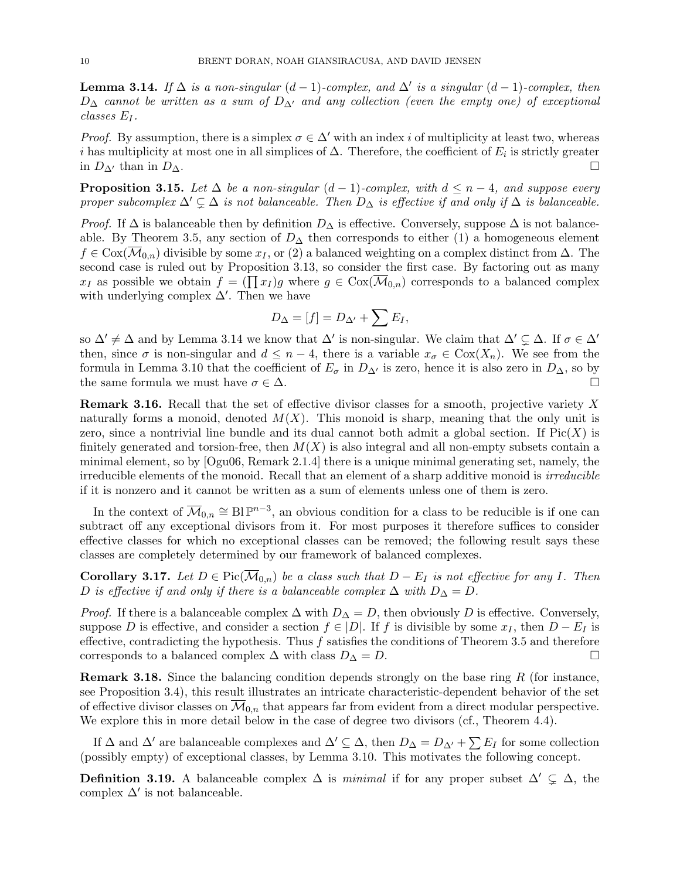**Lemma 3.14.** If  $\Delta$  is a non-singular  $(d-1)$ -complex, and  $\Delta'$  is a singular  $(d-1)$ -complex, then  $D_{\Delta}$  cannot be written as a sum of  $D_{\Delta}$  and any collection (even the empty one) of exceptional classes E<sup>I</sup> .

*Proof.* By assumption, there is a simplex  $\sigma \in \Delta'$  with an index i of multiplicity at least two, whereas i has multiplicity at most one in all simplices of  $\Delta$ . Therefore, the coefficient of  $E_i$  is strictly greater in  $D_{\Delta}$  than in  $D_{\Delta}$ .

**Proposition 3.15.** Let  $\Delta$  be a non-singular  $(d-1)$ -complex, with  $d \leq n-4$ , and suppose every proper subcomplex  $\Delta' \subsetneq \Delta$  is not balanceable. Then  $D_{\Delta}$  is effective if and only if  $\Delta$  is balanceable.

*Proof.* If  $\Delta$  is balanceable then by definition  $D_{\Delta}$  is effective. Conversely, suppose  $\Delta$  is not balanceable. By Theorem 3.5, any section of  $D_{\Delta}$  then corresponds to either (1) a homogeneous element  $f \in \text{Cox}(\mathcal{M}_{0,n})$  divisible by some  $x_I$ , or (2) a balanced weighting on a complex distinct from  $\Delta$ . The second case is ruled out by Proposition 3.13, so consider the first case. By factoring out as many  $x_I$  as possible we obtain  $f = (\prod x_I)g$  where  $g \in \text{Cox}(\overline{\mathcal{M}}_{0,n})$  corresponds to a balanced complex with underlying complex  $\Delta'$ . Then we have

$$
D_{\Delta} = [f] = D_{\Delta'} + \sum E_I,
$$

so  $\Delta' \neq \Delta$  and by Lemma 3.14 we know that  $\Delta'$  is non-singular. We claim that  $\Delta' \subsetneq \Delta$ . If  $\sigma \in \Delta'$ then, since  $\sigma$  is non-singular and  $d \leq n-4$ , there is a variable  $x_{\sigma} \in \text{Cox}(X_n)$ . We see from the formula in Lemma 3.10 that the coefficient of  $E_{\sigma}$  in  $D_{\Delta}$  is zero, hence it is also zero in  $D_{\Delta}$ , so by the same formula we must have  $\sigma \in \Delta$ .

Remark 3.16. Recall that the set of effective divisor classes for a smooth, projective variety X naturally forms a monoid, denoted  $M(X)$ . This monoid is sharp, meaning that the only unit is zero, since a nontrivial line bundle and its dual cannot both admit a global section. If  $Pic(X)$  is finitely generated and torsion-free, then  $M(X)$  is also integral and all non-empty subsets contain a minimal element, so by [Ogu06, Remark 2.1.4] there is a unique minimal generating set, namely, the irreducible elements of the monoid. Recall that an element of a sharp additive monoid is *irreducible* if it is nonzero and it cannot be written as a sum of elements unless one of them is zero.

In the context of  $\overline{\mathcal{M}}_{0,n} \cong \text{Bl }\mathbb{P}^{n-3}$ , an obvious condition for a class to be reducible is if one can subtract off any exceptional divisors from it. For most purposes it therefore suffices to consider effective classes for which no exceptional classes can be removed; the following result says these classes are completely determined by our framework of balanced complexes.

**Corollary 3.17.** Let  $D \in Pic(\overline{\mathcal{M}}_{0,n})$  be a class such that  $D - E_I$  is not effective for any I. Then D is effective if and only if there is a balanceable complex  $\Delta$  with  $D_{\Delta} = D$ .

*Proof.* If there is a balanceable complex  $\Delta$  with  $D_{\Delta} = D$ , then obviously D is effective. Conversely, suppose D is effective, and consider a section  $f \in |D|$ . If f is divisible by some  $x_I$ , then  $D - E_I$  is effective, contradicting the hypothesis. Thus  $f$  satisfies the conditions of Theorem 3.5 and therefore corresponds to a balanced complex  $\Delta$  with class  $D_{\Delta} = D$ .

**Remark 3.18.** Since the balancing condition depends strongly on the base ring  $R$  (for instance, see Proposition 3.4), this result illustrates an intricate characteristic-dependent behavior of the set of effective divisor classes on  $\mathcal{M}_{0,n}$  that appears far from evident from a direct modular perspective. We explore this in more detail below in the case of degree two divisors (cf., Theorem 4.4).

If  $\Delta$  and  $\Delta'$  are balanceable complexes and  $\Delta' \subseteq \Delta$ , then  $D_{\Delta} = D_{\Delta'} + \sum E_I$  for some collection (possibly empty) of exceptional classes, by Lemma 3.10. This motivates the following concept.

Definition 3.19. A balanceable complex  $\Delta$  is *minimal* if for any proper subset  $\Delta' \subsetneq \Delta$ , the complex  $\Delta'$  is not balanceable.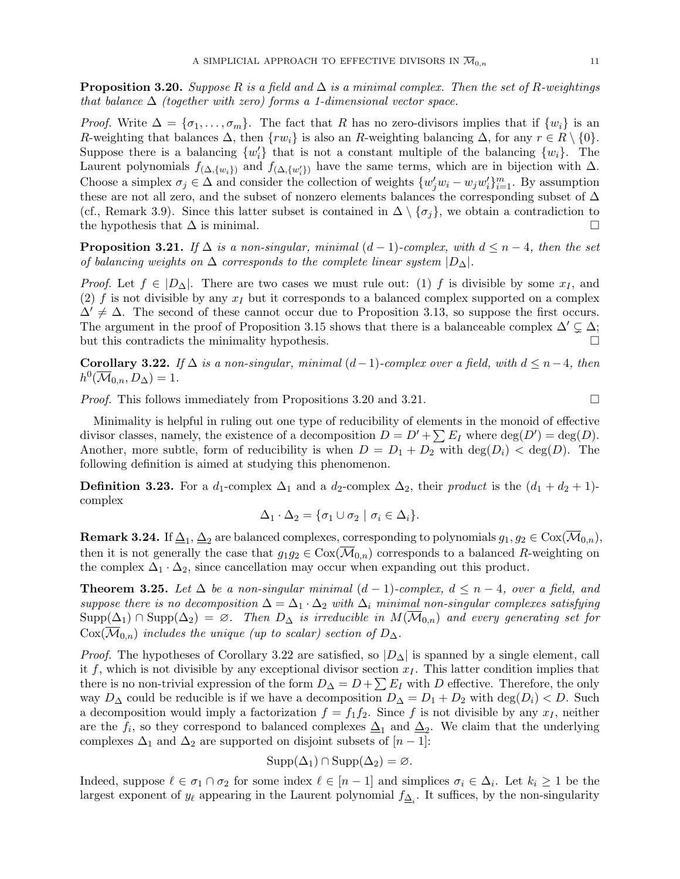**Proposition 3.20.** Suppose R is a field and  $\Delta$  is a minimal complex. Then the set of R-weightings that balance  $\Delta$  (together with zero) forms a 1-dimensional vector space.

*Proof.* Write  $\Delta = {\sigma_1, \ldots, \sigma_m}$ . The fact that R has no zero-divisors implies that if  $\{w_i\}$  is an R-weighting that balances  $\Delta$ , then  $\{rw_i\}$  is also an R-weighting balancing  $\Delta$ , for any  $r \in R \setminus \{0\}$ . Suppose there is a balancing  $\{w_i'\}$  that is not a constant multiple of the balancing  $\{w_i\}$ . The Laurent polynomials  $f_{(\Delta, \{w_i\})}$  and  $f_{(\Delta, \{w'_i\})}$  have the same terms, which are in bijection with  $\Delta$ . Choose a simplex  $\sigma_j \in \Delta$  and consider the collection of weights  $\{w'_j w_i - w_j w'_i\}_{i=1}^m$ . By assumption these are not all zero, and the subset of nonzero elements balances the corresponding subset of  $\Delta$ (cf., Remark 3.9). Since this latter subset is contained in  $\Delta \setminus {\sigma_j}$ , we obtain a contradiction to the hypothesis that  $\Delta$  is minimal.

**Proposition 3.21.** If  $\Delta$  is a non-singular, minimal  $(d-1)$ -complex, with  $d \leq n-4$ , then the set of balancing weights on  $\Delta$  corresponds to the complete linear system  $|D_{\Delta}|$ .

*Proof.* Let  $f \in |D_{\Delta}|$ . There are two cases we must rule out: (1) f is divisible by some  $x_I$ , and (2) f is not divisible by any  $x_I$  but it corresponds to a balanced complex supported on a complex  $\Delta' \neq \Delta$ . The second of these cannot occur due to Proposition 3.13, so suppose the first occurs. The argument in the proof of Proposition 3.15 shows that there is a balanceable complex  $\Delta' \subsetneq \Delta$ ; but this contradicts the minimality hypothesis.

**Corollary 3.22.** If  $\Delta$  is a non-singular, minimal  $(d-1)$ -complex over a field, with  $d \leq n-4$ , then  $h^0(\overline{\mathcal{M}}_{0,n}, D_{\Delta}) = 1.$ 

Proof. This follows immediately from Propositions 3.20 and 3.21.

Minimality is helpful in ruling out one type of reducibility of elements in the monoid of effective divisor classes, namely, the existence of a decomposition  $D = D' + \sum E_I$  where  $deg(D') = deg(D)$ . Another, more subtle, form of reducibility is when  $D = D_1 + D_2$  with  $\deg(D_i) < \deg(D)$ . The following definition is aimed at studying this phenomenon.

**Definition 3.23.** For a  $d_1$ -complex  $\Delta_1$  and a  $d_2$ -complex  $\Delta_2$ , their product is the  $(d_1 + d_2 + 1)$ complex

$$
\Delta_1 \cdot \Delta_2 = \{ \sigma_1 \cup \sigma_2 \mid \sigma_i \in \Delta_i \}.
$$

**Remark 3.24.** If  $\Delta_1$ ,  $\Delta_2$  are balanced complexes, corresponding to polynomials  $g_1, g_2 \in \text{Cox}(\overline{\mathcal M}_{0,n}),$ then it is not generally the case that  $g_1g_2 \in \text{Cox}(\mathcal{M}_{0,n})$  corresponds to a balanced R-weighting on the complex  $\Delta_1 \cdot \Delta_2$ , since cancellation may occur when expanding out this product.

**Theorem 3.25.** Let  $\Delta$  be a non-singular minimal  $(d-1)$ -complex,  $d \leq n-4$ , over a field, and suppose there is no decomposition  $\Delta = \Delta_1 \cdot \Delta_2$  with  $\Delta_i$  minimal non-singular complexes satisfying  $\text{Supp}(\Delta_1) \cap \text{Supp}(\Delta_2) = \emptyset$ . Then  $D_{\Delta}$  is irreducible in  $M(\overline{\mathcal{M}}_{0,n})$  and every generating set for  $Cox(\mathcal{M}_{0,n})$  includes the unique (up to scalar) section of  $D_{\Delta}$ .

*Proof.* The hypotheses of Corollary 3.22 are satisfied, so  $|D_\Delta|$  is spanned by a single element, call it f, which is not divisible by any exceptional divisor section  $x<sub>I</sub>$ . This latter condition implies that there is no non-trivial expression of the form  $D_{\Delta} = D + \sum E_I$  with D effective. Therefore, the only way  $D_{\Delta}$  could be reducible is if we have a decomposition  $D_{\Delta} = D_1 + D_2$  with  $\deg(D_i) < D$ . Such a decomposition would imply a factorization  $f = f_1 f_2$ . Since f is not divisible by any  $x_I$ , neither are the  $f_i$ , so they correspond to balanced complexes  $\Delta_1$  and  $\Delta_2$ . We claim that the underlying complexes  $\Delta_1$  and  $\Delta_2$  are supported on disjoint subsets of  $[n-1]$ :

$$
Supp(\Delta_1) \cap Supp(\Delta_2) = \varnothing.
$$

Indeed, suppose  $\ell \in \sigma_1 \cap \sigma_2$  for some index  $\ell \in [n-1]$  and simplices  $\sigma_i \in \Delta_i$ . Let  $k_i \geq 1$  be the largest exponent of  $y_{\ell}$  appearing in the Laurent polynomial  $f_{\Delta_i}$ . It suffices, by the non-singularity

$$
\mathcal{L}^{\mathcal{L}}(\mathcal{L})
$$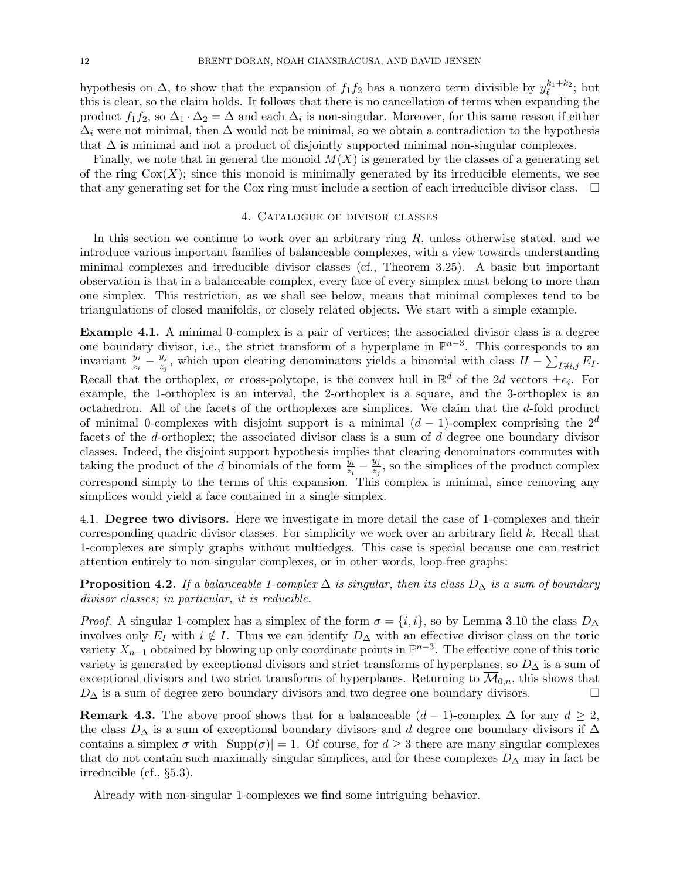hypothesis on  $\Delta$ , to show that the expansion of  $f_1 f_2$  has a nonzero term divisible by  $y_{\ell}^{k_1+k_2}$ ; but this is clear, so the claim holds. It follows that there is no cancellation of terms when expanding the product  $f_1 f_2$ , so  $\Delta_1 \cdot \Delta_2 = \Delta$  and each  $\Delta_i$  is non-singular. Moreover, for this same reason if either  $\Delta_i$  were not minimal, then  $\Delta$  would not be minimal, so we obtain a contradiction to the hypothesis that  $\Delta$  is minimal and not a product of disjointly supported minimal non-singular complexes.

Finally, we note that in general the monoid  $M(X)$  is generated by the classes of a generating set of the ring  $Cox(X)$ ; since this monoid is minimally generated by its irreducible elements, we see that any generating set for the Cox ring must include a section of each irreducible divisor class.  $\Box$ 

#### 4. Catalogue of divisor classes

In this section we continue to work over an arbitrary ring  $R$ , unless otherwise stated, and we introduce various important families of balanceable complexes, with a view towards understanding minimal complexes and irreducible divisor classes (cf., Theorem 3.25). A basic but important observation is that in a balanceable complex, every face of every simplex must belong to more than one simplex. This restriction, as we shall see below, means that minimal complexes tend to be triangulations of closed manifolds, or closely related objects. We start with a simple example.

Example 4.1. A minimal 0-complex is a pair of vertices; the associated divisor class is a degree one boundary divisor, i.e., the strict transform of a hyperplane in  $\mathbb{P}^{n-3}$ . This corresponds to an invariant  $\frac{y_i}{z_i} - \frac{y_j}{z_j}$  $\frac{y_j}{z_j}$ , which upon clearing denominators yields a binomial with class  $H - \sum_{I \neq i,j} E_I$ . Recall that the orthoplex, or cross-polytope, is the convex hull in  $\mathbb{R}^d$  of the 2d vectors  $\pm e_i$ . For example, the 1-orthoplex is an interval, the 2-orthoplex is a square, and the 3-orthoplex is an octahedron. All of the facets of the orthoplexes are simplices. We claim that the d-fold product of minimal 0-complexes with disjoint support is a minimal  $(d-1)$ -complex comprising the  $2^d$ facets of the d-orthoplex; the associated divisor class is a sum of d degree one boundary divisor classes. Indeed, the disjoint support hypothesis implies that clearing denominators commutes with taking the product of the d binomials of the form  $\frac{y_i}{z_i} - \frac{y_j}{z_j}$  $\frac{y_j}{z_j}$ , so the simplices of the product complex correspond simply to the terms of this expansion. This complex is minimal, since removing any simplices would yield a face contained in a single simplex.

4.1. Degree two divisors. Here we investigate in more detail the case of 1-complexes and their corresponding quadric divisor classes. For simplicity we work over an arbitrary field k. Recall that 1-complexes are simply graphs without multiedges. This case is special because one can restrict attention entirely to non-singular complexes, or in other words, loop-free graphs:

**Proposition 4.2.** If a balanceable 1-complex  $\Delta$  is singular, then its class  $D_{\Delta}$  is a sum of boundary divisor classes; in particular, it is reducible.

*Proof.* A singular 1-complex has a simplex of the form  $\sigma = \{i, i\}$ , so by Lemma 3.10 the class  $D_{\Delta}$ involves only  $E_I$  with  $i \notin I$ . Thus we can identify  $D_{\Delta}$  with an effective divisor class on the toric variety  $X_{n-1}$  obtained by blowing up only coordinate points in  $\mathbb{P}^{n-3}$ . The effective cone of this toric variety is generated by exceptional divisors and strict transforms of hyperplanes, so  $D_{\Delta}$  is a sum of exceptional divisors and two strict transforms of hyperplanes. Returning to  $\overline{\mathcal{M}}_{0,n}$ , this shows that  $D_{\Delta}$  is a sum of degree zero boundary divisors and two degree one boundary divisors.

**Remark 4.3.** The above proof shows that for a balanceable  $(d-1)$ -complex  $\Delta$  for any  $d \geq 2$ , the class  $D_{\Delta}$  is a sum of exceptional boundary divisors and d degree one boundary divisors if  $\Delta$ contains a simplex  $\sigma$  with  $|\text{Supp}(\sigma)| = 1$ . Of course, for  $d \geq 3$  there are many singular complexes that do not contain such maximally singular simplices, and for these complexes  $D_{\Delta}$  may in fact be irreducible (cf., §5.3).

Already with non-singular 1-complexes we find some intriguing behavior.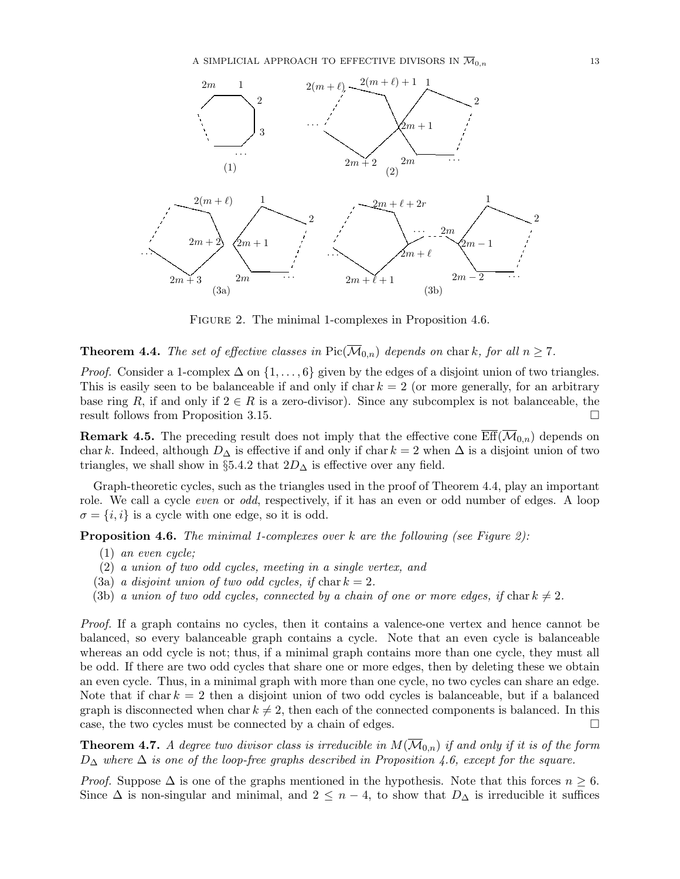

Figure 2. The minimal 1-complexes in Proposition 4.6.

**Theorem 4.4.** The set of effective classes in  $Pic(\overline{\mathcal{M}}_{0,n})$  depends on chark, for all  $n \geq 7$ .

*Proof.* Consider a 1-complex  $\Delta$  on  $\{1, \ldots, 6\}$  given by the edges of a disjoint union of two triangles. This is easily seen to be balanceable if and only if char  $k = 2$  (or more generally, for an arbitrary base ring R, if and only if  $2 \in R$  is a zero-divisor). Since any subcomplex is not balanceable, the result follows from Proposition 3.15.

**Remark 4.5.** The preceding result does not imply that the effective cone  $\overline{\text{Eff}}(\overline{\mathcal{M}}_{0,n})$  depends on char k. Indeed, although  $D_{\Delta}$  is effective if and only if char k = 2 when  $\Delta$  is a disjoint union of two triangles, we shall show in §5.4.2 that  $2D_{\Delta}$  is effective over any field.

Graph-theoretic cycles, such as the triangles used in the proof of Theorem 4.4, play an important role. We call a cycle *even* or *odd*, respectively, if it has an even or odd number of edges. A loop  $\sigma = \{i, i\}$  is a cycle with one edge, so it is odd.

**Proposition 4.6.** The minimal 1-complexes over  $k$  are the following (see Figure 2):

- (1) an even cycle;
- (2) a union of two odd cycles, meeting in a single vertex, and
- (3a) a disjoint union of two odd cycles, if  $char\,k=2$ .
- (3b) a union of two odd cycles, connected by a chain of one or more edges, if chark  $\neq 2$ .

Proof. If a graph contains no cycles, then it contains a valence-one vertex and hence cannot be balanced, so every balanceable graph contains a cycle. Note that an even cycle is balanceable whereas an odd cycle is not; thus, if a minimal graph contains more than one cycle, they must all be odd. If there are two odd cycles that share one or more edges, then by deleting these we obtain an even cycle. Thus, in a minimal graph with more than one cycle, no two cycles can share an edge. Note that if char  $k = 2$  then a disjoint union of two odd cycles is balanceable, but if a balanced graph is disconnected when char  $k \neq 2$ , then each of the connected components is balanced. In this case, the two cycles must be connected by a chain of edges.

**Theorem 4.7.** A degree two divisor class is irreducible in  $M(\overline{\mathcal{M}}_{0,n})$  if and only if it is of the form  $D_{\Delta}$  where  $\Delta$  is one of the loop-free graphs described in Proposition 4.6, except for the square.

*Proof.* Suppose  $\Delta$  is one of the graphs mentioned in the hypothesis. Note that this forces  $n \geq 6$ . Since  $\Delta$  is non-singular and minimal, and  $2 \leq n-4$ , to show that  $D_{\Delta}$  is irreducible it suffices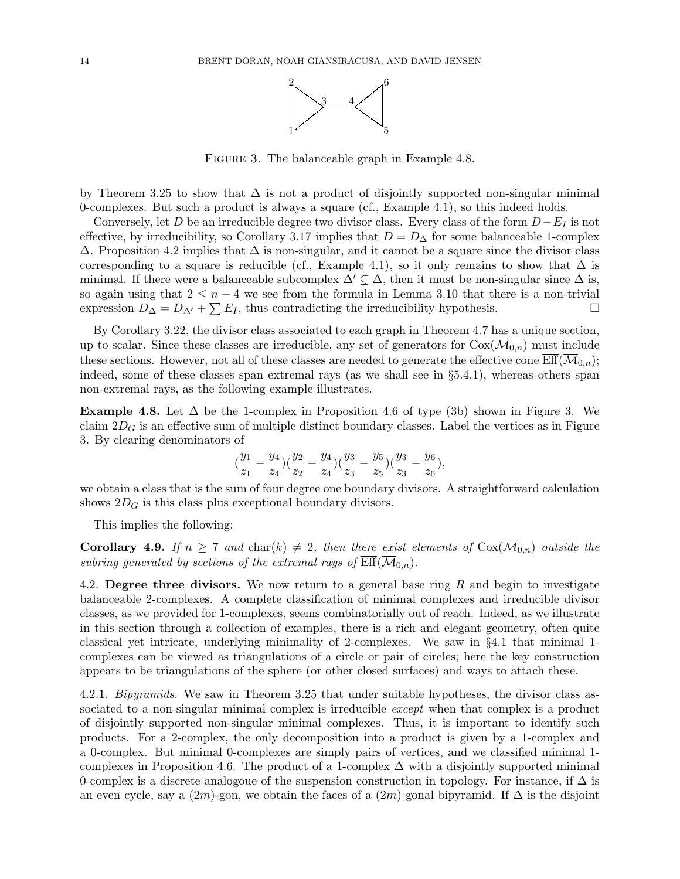

Figure 3. The balanceable graph in Example 4.8.

by Theorem 3.25 to show that  $\Delta$  is not a product of disjointly supported non-singular minimal 0-complexes. But such a product is always a square (cf., Example 4.1), so this indeed holds.

Conversely, let D be an irreducible degree two divisor class. Every class of the form  $D-E_I$  is not effective, by irreducibility, so Corollary 3.17 implies that  $D = D_{\Delta}$  for some balanceable 1-complex  $\Delta$ . Proposition 4.2 implies that  $\Delta$  is non-singular, and it cannot be a square since the divisor class corresponding to a square is reducible (cf., Example 4.1), so it only remains to show that  $\Delta$  is minimal. If there were a balanceable subcomplex  $\Delta' \subsetneq \Delta$ , then it must be non-singular since  $\Delta$  is, so again using that  $2 \leq n-4$  we see from the formula in Lemma 3.10 that there is a non-trivial expression  $D_{\Delta} = D_{\Delta'} + \sum E_I$ , thus contradicting the irreducibility hypothesis.

By Corollary 3.22, the divisor class associated to each graph in Theorem 4.7 has a unique section, up to scalar. Since these classes are irreducible, any set of generators for  $Cox(\mathcal{M}_{0,n})$  must include these sections. However, not all of these classes are needed to generate the effective cone  $\mathrm{Eff}(\mathcal{M}_{0,n});$ indeed, some of these classes span extremal rays (as we shall see in §5.4.1), whereas others span non-extremal rays, as the following example illustrates.

Example 4.8. Let  $\Delta$  be the 1-complex in Proposition 4.6 of type (3b) shown in Figure 3. We claim  $2D_G$  is an effective sum of multiple distinct boundary classes. Label the vertices as in Figure 3. By clearing denominators of

$$
(\frac{y_1}{z_1}-\frac{y_4}{z_4})(\frac{y_2}{z_2}-\frac{y_4}{z_4})(\frac{y_3}{z_3}-\frac{y_5}{z_5})(\frac{y_3}{z_3}-\frac{y_6}{z_6}),
$$

we obtain a class that is the sum of four degree one boundary divisors. A straightforward calculation shows  $2D<sub>G</sub>$  is this class plus exceptional boundary divisors.

This implies the following:

**Corollary 4.9.** If  $n \geq 7$  and  $char(k) \neq 2$ , then there exist elements of  $Cox(\overline{\mathcal{M}}_{0,n})$  outside the subring generated by sections of the extremal rays of  $\overline{\text{Eff}}(\overline{\mathcal{M}}_{0,n}).$ 

4.2. Degree three divisors. We now return to a general base ring  $R$  and begin to investigate balanceable 2-complexes. A complete classification of minimal complexes and irreducible divisor classes, as we provided for 1-complexes, seems combinatorially out of reach. Indeed, as we illustrate in this section through a collection of examples, there is a rich and elegant geometry, often quite classical yet intricate, underlying minimality of 2-complexes. We saw in §4.1 that minimal 1 complexes can be viewed as triangulations of a circle or pair of circles; here the key construction appears to be triangulations of the sphere (or other closed surfaces) and ways to attach these.

4.2.1. Bipyramids. We saw in Theorem 3.25 that under suitable hypotheses, the divisor class associated to a non-singular minimal complex is irreducible *except* when that complex is a product of disjointly supported non-singular minimal complexes. Thus, it is important to identify such products. For a 2-complex, the only decomposition into a product is given by a 1-complex and a 0-complex. But minimal 0-complexes are simply pairs of vertices, and we classified minimal 1 complexes in Proposition 4.6. The product of a 1-complex  $\Delta$  with a disjointly supported minimal 0-complex is a discrete analogoue of the suspension construction in topology. For instance, if  $\Delta$  is an even cycle, say a  $(2m)$ -gon, we obtain the faces of a  $(2m)$ -gonal bipyramid. If  $\Delta$  is the disjoint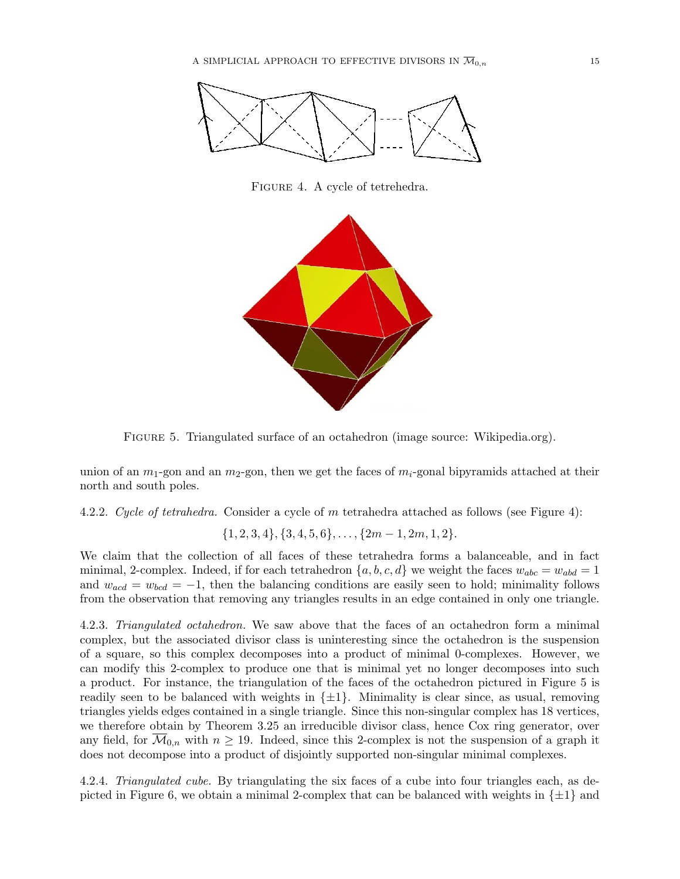

Figure 4. A cycle of tetrehedra.



Figure 5. Triangulated surface of an octahedron (image source: Wikipedia.org).

union of an  $m_1$ -gon and an  $m_2$ -gon, then we get the faces of  $m_i$ -gonal bipyramids attached at their north and south poles.

4.2.2. Cycle of tetrahedra. Consider a cycle of m tetrahedra attached as follows (see Figure 4):

$$
\{1,2,3,4\},\{3,4,5,6\},\ldots,\{2m-1,2m,1,2\}.
$$

We claim that the collection of all faces of these tetrahedra forms a balanceable, and in fact minimal, 2-complex. Indeed, if for each tetrahedron  $\{a, b, c, d\}$  we weight the faces  $w_{abc} = w_{abd} = 1$ and  $w_{acd} = w_{bcd} = -1$ , then the balancing conditions are easily seen to hold; minimality follows from the observation that removing any triangles results in an edge contained in only one triangle.

4.2.3. Triangulated octahedron. We saw above that the faces of an octahedron form a minimal complex, but the associated divisor class is uninteresting since the octahedron is the suspension of a square, so this complex decomposes into a product of minimal 0-complexes. However, we can modify this 2-complex to produce one that is minimal yet no longer decomposes into such a product. For instance, the triangulation of the faces of the octahedron pictured in Figure 5 is readily seen to be balanced with weights in  $\{\pm 1\}$ . Minimality is clear since, as usual, removing triangles yields edges contained in a single triangle. Since this non-singular complex has 18 vertices, we therefore obtain by Theorem 3.25 an irreducible divisor class, hence Cox ring generator, over any field, for  $\overline{\mathcal{M}}_{0,n}$  with  $n \geq 19$ . Indeed, since this 2-complex is not the suspension of a graph it does not decompose into a product of disjointly supported non-singular minimal complexes.

4.2.4. Triangulated cube. By triangulating the six faces of a cube into four triangles each, as depicted in Figure 6, we obtain a minimal 2-complex that can be balanced with weights in  $\{\pm 1\}$  and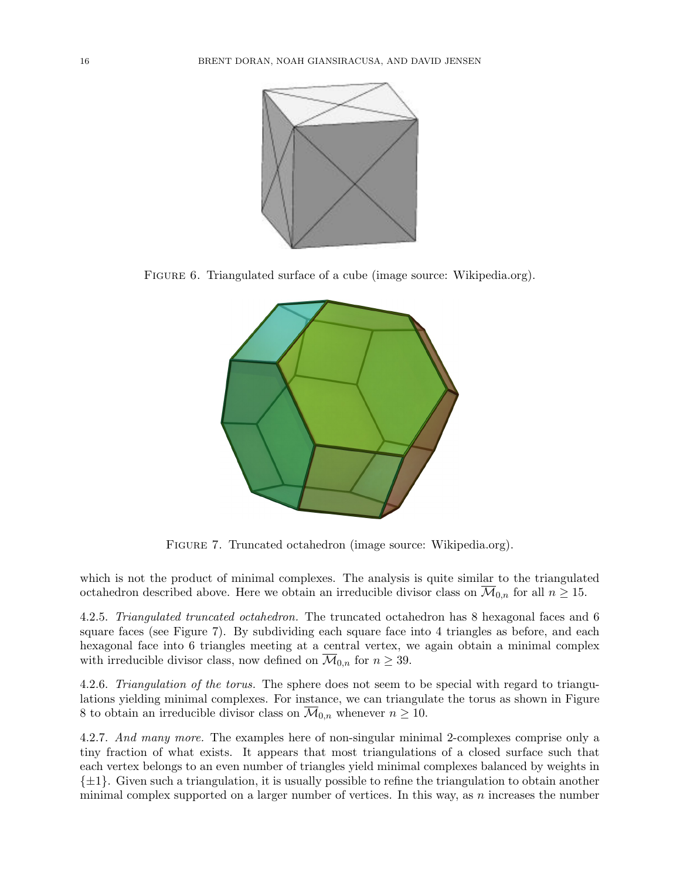

FIGURE 6. Triangulated surface of a cube (image source: Wikipedia.org).



FIGURE 7. Truncated octahedron (image source: Wikipedia.org).

which is not the product of minimal complexes. The analysis is quite similar to the triangulated octahedron described above. Here we obtain an irreducible divisor class on  $\overline{\mathcal{M}}_{0,n}$  for all  $n \geq 15$ .

4.2.5. Triangulated truncated octahedron. The truncated octahedron has 8 hexagonal faces and 6 square faces (see Figure 7). By subdividing each square face into 4 triangles as before, and each hexagonal face into 6 triangles meeting at a central vertex, we again obtain a minimal complex with irreducible divisor class, now defined on  $\overline{\mathcal{M}}_{0,n}$  for  $n \geq 39$ .

4.2.6. Triangulation of the torus. The sphere does not seem to be special with regard to triangulations yielding minimal complexes. For instance, we can triangulate the torus as shown in Figure 8 to obtain an irreducible divisor class on  $\overline{\mathcal{M}}_{0,n}$  whenever  $n \geq 10$ .

4.2.7. And many more. The examples here of non-singular minimal 2-complexes comprise only a tiny fraction of what exists. It appears that most triangulations of a closed surface such that each vertex belongs to an even number of triangles yield minimal complexes balanced by weights in  $\{\pm 1\}$ . Given such a triangulation, it is usually possible to refine the triangulation to obtain another minimal complex supported on a larger number of vertices. In this way, as  $n$  increases the number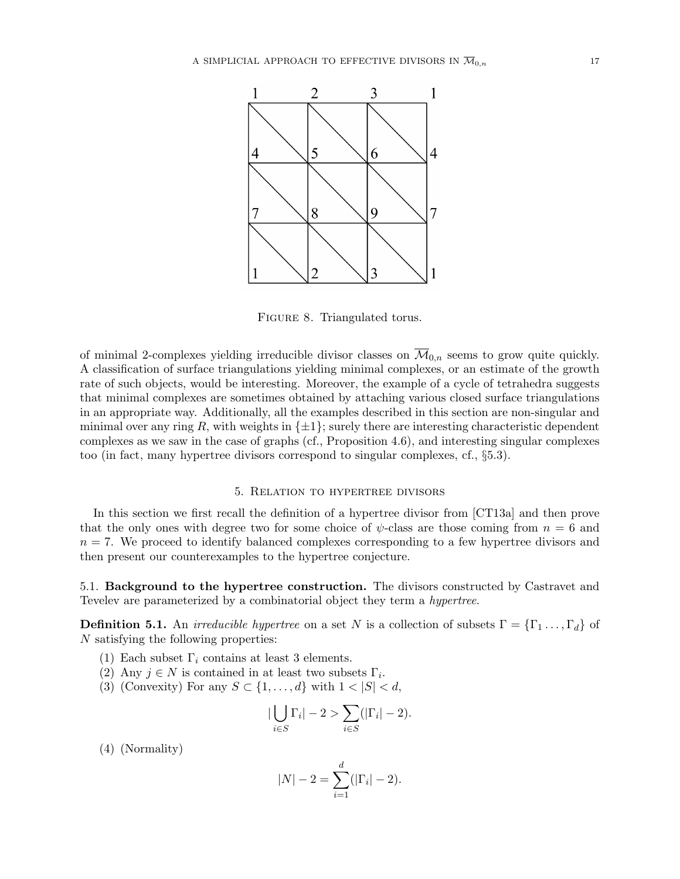

FIGURE 8. Triangulated torus.

of minimal 2-complexes yielding irreducible divisor classes on  $\overline{\mathcal{M}}_{0,n}$  seems to grow quite quickly. A classification of surface triangulations yielding minimal complexes, or an estimate of the growth rate of such objects, would be interesting. Moreover, the example of a cycle of tetrahedra suggests that minimal complexes are sometimes obtained by attaching various closed surface triangulations in an appropriate way. Additionally, all the examples described in this section are non-singular and minimal over any ring R, with weights in  $\{\pm 1\}$ ; surely there are interesting characteristic dependent complexes as we saw in the case of graphs (cf., Proposition 4.6), and interesting singular complexes too (in fact, many hypertree divisors correspond to singular complexes, cf., §5.3).

### 5. Relation to hypertree divisors

In this section we first recall the definition of a hypertree divisor from [CT13a] and then prove that the only ones with degree two for some choice of  $\psi$ -class are those coming from  $n = 6$  and  $n = 7$ . We proceed to identify balanced complexes corresponding to a few hypertree divisors and then present our counterexamples to the hypertree conjecture.

5.1. Background to the hypertree construction. The divisors constructed by Castravet and Tevelev are parameterized by a combinatorial object they term a hypertree.

**Definition 5.1.** An *irreducible hypertree* on a set N is a collection of subsets  $\Gamma = {\Gamma_1 \dots, \Gamma_d}$  of N satisfying the following properties:

- (1) Each subset  $\Gamma_i$  contains at least 3 elements.
- (2) Any  $j \in N$  is contained in at least two subsets  $\Gamma_i$ .
- (3) (Convexity) For any  $S \subset \{1, \ldots, d\}$  with  $1 < |S| < d$ ,

$$
\left|\bigcup_{i\in S}\Gamma_i\right| - 2 > \sum_{i\in S}(\left|\Gamma_i\right| - 2).
$$

(4) (Normality)

$$
|N| - 2 = \sum_{i=1}^{d} (|\Gamma_i| - 2).
$$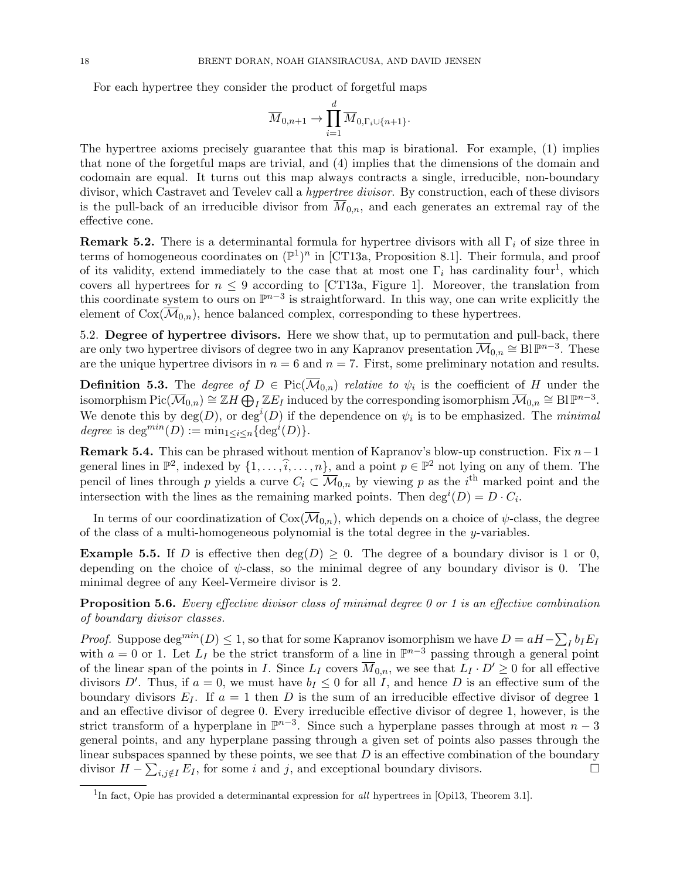For each hypertree they consider the product of forgetful maps

$$
\overline{M}_{0,n+1} \to \prod_{i=1}^d \overline{M}_{0,\Gamma_i \cup \{n+1\}}.
$$

The hypertree axioms precisely guarantee that this map is birational. For example, (1) implies that none of the forgetful maps are trivial, and (4) implies that the dimensions of the domain and codomain are equal. It turns out this map always contracts a single, irreducible, non-boundary divisor, which Castravet and Tevelev call a hypertree divisor. By construction, each of these divisors is the pull-back of an irreducible divisor from  $M_{0,n}$ , and each generates an extremal ray of the effective cone.

**Remark 5.2.** There is a determinantal formula for hypertree divisors with all  $\Gamma_i$  of size three in terms of homogeneous coordinates on  $(\mathbb{P}^1)^n$  in [CT13a, Proposition 8.1]. Their formula, and proof of its validity, extend immediately to the case that at most one  $\Gamma_i$  has cardinality four<sup>1</sup>, which covers all hypertrees for  $n \leq 9$  according to [CT13a, Figure 1]. Moreover, the translation from this coordinate system to ours on  $\mathbb{P}^{n-3}$  is straightforward. In this way, one can write explicitly the element of  $Cox(\overline{\mathcal{M}}_{0,n})$ , hence balanced complex, corresponding to these hypertrees.

5.2. Degree of hypertree divisors. Here we show that, up to permutation and pull-back, there are only two hypertree divisors of degree two in any Kapranov presentation  $\overline{\mathcal{M}}_{0,n} \cong B\mathbb{P}^{n-3}$ . These are the unique hypertree divisors in  $n = 6$  and  $n = 7$ . First, some preliminary notation and results.

**Definition 5.3.** The *degree of*  $D \in Pic(\mathcal{M}_{0,n})$  *relative to*  $\psi_i$  is the coefficient of H under the isomorphism  $Pic(\overline{\mathcal{M}}_{0,n}) \cong \mathbb{Z}H \bigoplus_{I} \mathbb{Z}E_{I}$  induced by the corresponding isomorphism  $\overline{\mathcal{M}}_{0,n} \cong \text{Bl }\mathbb{P}^{n-3}$ . We denote this by  $deg(D)$ , or  $deg^i(D)$  if the dependence on  $\psi_i$  is to be emphasized. The minimal degree is deg<sup>min</sup> $(D) := \min_{1 \leq i \leq n} {\{\text{deg}^i(D)\}}.$ 

Remark 5.4. This can be phrased without mention of Kapranov's blow-up construction. Fix  $n-1$ general lines in  $\mathbb{P}^2$ , indexed by  $\{1, \ldots, \hat{i}, \ldots, n\}$ , and a point  $p \in \mathbb{P}^2$  not lying on any of them. The pencil of lines through p yields a curve  $C_i \subset \overline{\mathcal{M}}_{0,n}$  by viewing p as the i<sup>th</sup> marked point and the intersection with the lines as the remaining marked points. Then  $\deg^{i}(D) = D \cdot C_{i}$ .

In terms of our coordinatization of  $Cox(\overline{\mathcal{M}}_{0,n})$ , which depends on a choice of  $\psi$ -class, the degree of the class of a multi-homogeneous polynomial is the total degree in the y-variables.

**Example 5.5.** If D is effective then  $deg(D) \geq 0$ . The degree of a boundary divisor is 1 or 0, depending on the choice of  $\psi$ -class, so the minimal degree of any boundary divisor is 0. The minimal degree of any Keel-Vermeire divisor is 2.

**Proposition 5.6.** Every effective divisor class of minimal degree 0 or 1 is an effective combination of boundary divisor classes.

*Proof.* Suppose  $\deg^{min}(D) \leq 1$ , so that for some Kapranov isomorphism we have  $D = aH - \sum_I b_I E_I$ with  $a = 0$  or 1. Let  $L_I$  be the strict transform of a line in  $\mathbb{P}^{n-3}$  passing through a general point of the linear span of the points in I. Since  $L_I$  covers  $\overline{M}_{0,n}$ , we see that  $L_I \cdot D' \geq 0$  for all effective divisors D'. Thus, if  $a = 0$ , we must have  $b_I \leq 0$  for all I, and hence D is an effective sum of the boundary divisors  $E_I$ . If  $a = 1$  then D is the sum of an irreducible effective divisor of degree 1 and an effective divisor of degree 0. Every irreducible effective divisor of degree 1, however, is the strict transform of a hyperplane in  $\mathbb{P}^{n-3}$ . Since such a hyperplane passes through at most  $n-3$ general points, and any hyperplane passing through a given set of points also passes through the linear subspaces spanned by these points, we see that  $D$  is an effective combination of the boundary divisor  $H - \sum_{i,j \notin I} E_I$ , for some i and j, and exceptional boundary divisors.

<sup>&</sup>lt;sup>1</sup>In fact, Opie has provided a determinantal expression for all hypertrees in [Opi13, Theorem 3.1].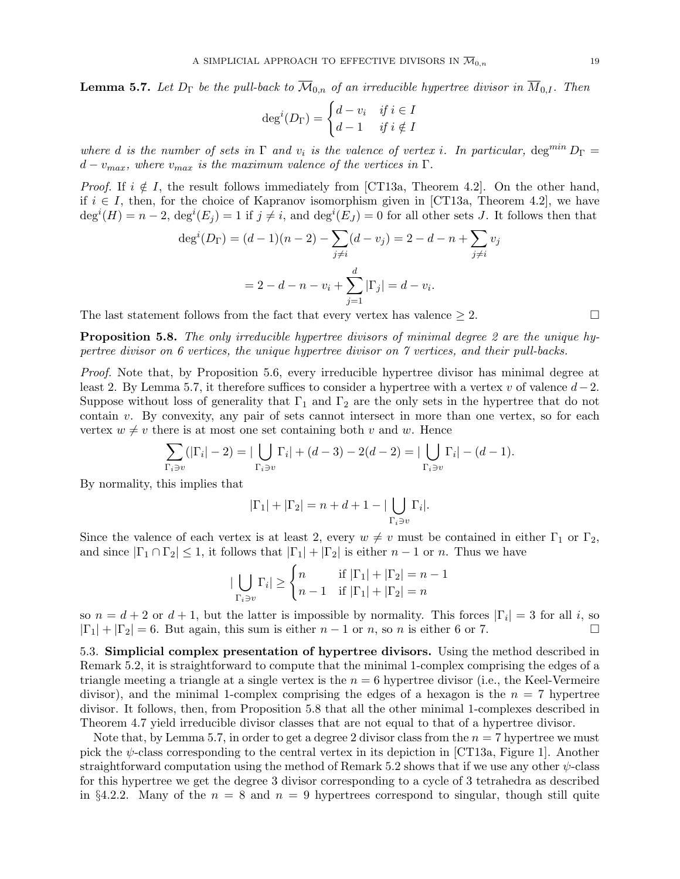**Lemma 5.7.** Let  $D_{\Gamma}$  be the pull-back to  $\overline{\mathcal{M}}_{0,n}$  of an irreducible hypertree divisor in  $\overline{\mathcal{M}}_{0,I}$ . Then

$$
\deg^{i}(D_{\Gamma}) = \begin{cases} d - v_{i} & \text{if } i \in I \\ d - 1 & \text{if } i \notin I \end{cases}
$$

where d is the number of sets in  $\Gamma$  and  $v_i$  is the valence of vertex i. In particular,  $\deg^{min} D_{\Gamma} =$  $d-v_{max}$ , where  $v_{max}$  is the maximum valence of the vertices in  $\Gamma$ .

*Proof.* If  $i \notin I$ , the result follows immediately from [CT13a, Theorem 4.2]. On the other hand, if  $i \in I$ , then, for the choice of Kapranov isomorphism given in [CT13a, Theorem 4.2], we have  $\deg^{i}(H) = n-2$ ,  $\deg^{i}(E_j) = 1$  if  $j \neq i$ , and  $\deg^{i}(E_j) = 0$  for all other sets J. It follows then that

$$
\deg^{i}(D_{\Gamma}) = (d - 1)(n - 2) - \sum_{j \neq i} (d - v_{j}) = 2 - d - n + \sum_{j \neq i} v_{j}
$$

$$
= 2 - d - n - v_{i} + \sum_{j=1}^{d} |\Gamma_{j}| = d - v_{i}.
$$

The last statement follows from the fact that every vertex has valence  $\geq 2$ .

**Proposition 5.8.** The only irreducible hypertree divisors of minimal degree 2 are the unique hypertree divisor on 6 vertices, the unique hypertree divisor on 7 vertices, and their pull-backs.

Proof. Note that, by Proposition 5.6, every irreducible hypertree divisor has minimal degree at least 2. By Lemma 5.7, it therefore suffices to consider a hypertree with a vertex v of valence  $d-2$ . Suppose without loss of generality that  $\Gamma_1$  and  $\Gamma_2$  are the only sets in the hypertree that do not contain  $v$ . By convexity, any pair of sets cannot intersect in more than one vertex, so for each vertex  $w \neq v$  there is at most one set containing both v and w. Hence

$$
\sum_{\Gamma_i \ni v} (|\Gamma_i| - 2) = |\bigcup_{\Gamma_i \ni v} \Gamma_i| + (d - 3) - 2(d - 2) = |\bigcup_{\Gamma_i \ni v} \Gamma_i| - (d - 1).
$$

By normality, this implies that

$$
|\Gamma_1| + |\Gamma_2| = n + d + 1 - |\bigcup_{\Gamma_i \ni v} \Gamma_i|.
$$

Since the valence of each vertex is at least 2, every  $w \neq v$  must be contained in either  $\Gamma_1$  or  $\Gamma_2$ , and since  $|\Gamma_1 \cap \Gamma_2| \leq 1$ , it follows that  $|\Gamma_1| + |\Gamma_2|$  is either  $n-1$  or n. Thus we have

$$
|\bigcup_{\Gamma_i \ni v} \Gamma_i| \ge \begin{cases} n & \text{if } |\Gamma_1| + |\Gamma_2| = n - 1 \\ n - 1 & \text{if } |\Gamma_1| + |\Gamma_2| = n \end{cases}
$$

so  $n = d + 2$  or  $d + 1$ , but the latter is impossible by normality. This forces  $|\Gamma_i| = 3$  for all i, so  $|\Gamma_1| + |\Gamma_2| = 6$ . But again, this sum is either  $n-1$  or n, so n is either 6 or 7.

5.3. Simplicial complex presentation of hypertree divisors. Using the method described in Remark 5.2, it is straightforward to compute that the minimal 1-complex comprising the edges of a triangle meeting a triangle at a single vertex is the  $n = 6$  hypertree divisor (i.e., the Keel-Vermeire divisor), and the minimal 1-complex comprising the edges of a hexagon is the  $n = 7$  hypertree divisor. It follows, then, from Proposition 5.8 that all the other minimal 1-complexes described in Theorem 4.7 yield irreducible divisor classes that are not equal to that of a hypertree divisor.

Note that, by Lemma 5.7, in order to get a degree 2 divisor class from the  $n = 7$  hypertree we must pick the  $\psi$ -class corresponding to the central vertex in its depiction in [CT13a, Figure 1]. Another straightforward computation using the method of Remark 5.2 shows that if we use any other  $\psi$ -class for this hypertree we get the degree 3 divisor corresponding to a cycle of 3 tetrahedra as described in §4.2.2. Many of the  $n = 8$  and  $n = 9$  hypertrees correspond to singular, though still quite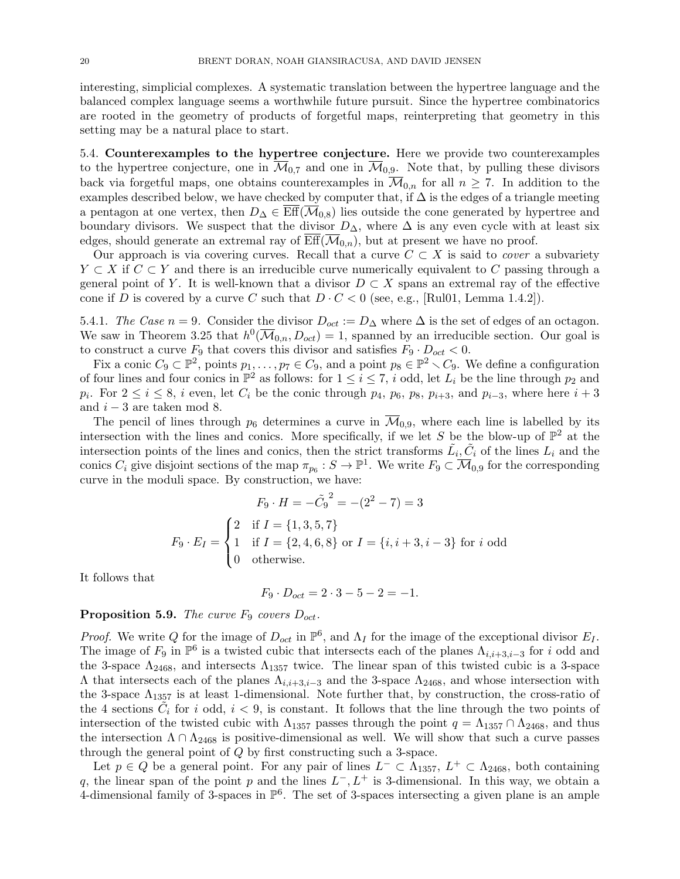interesting, simplicial complexes. A systematic translation between the hypertree language and the balanced complex language seems a worthwhile future pursuit. Since the hypertree combinatorics are rooted in the geometry of products of forgetful maps, reinterpreting that geometry in this setting may be a natural place to start.

5.4. Counterexamples to the hypertree conjecture. Here we provide two counterexamples to the hypertree conjecture, one in  $\overline{\mathcal{M}}_{0,7}$  and one in  $\overline{\mathcal{M}}_{0,9}$ . Note that, by pulling these divisors back via forgetful maps, one obtains counterexamples in  $\overline{\mathcal{M}}_{0,n}$  for all  $n \geq 7$ . In addition to the examples described below, we have checked by computer that, if  $\Delta$  is the edges of a triangle meeting a pentagon at one vertex, then  $D_{\Delta} \in \text{Eff}(\mathcal{M}_{0,8})$  lies outside the cone generated by hypertree and boundary divisors. We suspect that the divisor  $D_{\Delta}$ , where  $\Delta$  is any even cycle with at least six edges, should generate an extremal ray of  $\mathrm{Eff}(\mathcal{M}_{0,n})$ , but at present we have no proof.

Our approach is via covering curves. Recall that a curve  $C \subset X$  is said to *cover* a subvariety  $Y \subset X$  if  $C \subset Y$  and there is an irreducible curve numerically equivalent to C passing through a general point of Y. It is well-known that a divisor  $D \subset X$  spans an extremal ray of the effective cone if D is covered by a curve C such that  $D \cdot C < 0$  (see, e.g., [Rul01, Lemma 1.4.2]).

5.4.1. The Case  $n = 9$ . Consider the divisor  $D_{oct} := D_{\Delta}$  where  $\Delta$  is the set of edges of an octagon. We saw in Theorem 3.25 that  $h^0(\overline{\mathcal{M}}_{0,n}, D_{oct}) = 1$ , spanned by an irreducible section. Our goal is to construct a curve  $F_9$  that covers this divisor and satisfies  $F_9 \cdot D_{oct} < 0$ .

Fix a conic  $C_9 \subset \mathbb{P}^2$ , points  $p_1, \ldots, p_7 \in C_9$ , and a point  $p_8 \in \mathbb{P}^2 \setminus C_9$ . We define a configuration of four lines and four conics in  $\mathbb{P}^2$  as follows: for  $1 \leq i \leq 7$ , i odd, let  $L_i$  be the line through  $p_2$  and  $p_i$ . For  $2 \le i \le 8$ , i even, let  $C_i$  be the conic through  $p_4$ ,  $p_6$ ,  $p_8$ ,  $p_{i+3}$ , and  $p_{i-3}$ , where here  $i+3$ and  $i - 3$  are taken mod 8.

The pencil of lines through  $p_6$  determines a curve in  $\overline{\mathcal{M}}_{0,9}$ , where each line is labelled by its intersection with the lines and conics. More specifically, if we let S be the blow-up of  $\mathbb{P}^2$  at the intersection points of the lines and conics, then the strict transforms  $\tilde{L}_i$ ,  $\tilde{C}_i$  of the lines  $L_i$  and the conics  $C_i$  give disjoint sections of the map  $\pi_{p_6}: S \to \mathbb{P}^1$ . We write  $F_9 \subset \overline{\mathcal{M}}_{0,9}$  for the corresponding curve in the moduli space. By construction, we have:

 $\sim$  2

$$
F_9 \cdot H = -\tilde{C_9}^2 = -(2^2 - 7) = 3
$$
  

$$
F_9 \cdot E_I = \begin{cases} 2 & \text{if } I = \{1, 3, 5, 7\} \\ 1 & \text{if } I = \{2, 4, 6, 8\} \text{ or } I = \{i, i + 3, i - 3\} \text{ for } i \text{ odd} \\ 0 & \text{otherwise.} \end{cases}
$$

It follows that

$$
F_9 \cdot D_{oct} = 2 \cdot 3 - 5 - 2 = -1.
$$

## **Proposition 5.9.** The curve  $F_9$  covers  $D_{oct}$ .

*Proof.* We write Q for the image of  $D_{oct}$  in  $\mathbb{P}^6$ , and  $\Lambda_I$  for the image of the exceptional divisor  $E_I$ . The image of  $F_9$  in  $\mathbb{P}^6$  is a twisted cubic that intersects each of the planes  $\Lambda_{i,i+3,i-3}$  for i odd and the 3-space  $\Lambda_{2468}$ , and intersects  $\Lambda_{1357}$  twice. The linear span of this twisted cubic is a 3-space  $\Lambda$  that intersects each of the planes  $\Lambda_{i,i+3,i-3}$  and the 3-space  $\Lambda_{2468}$ , and whose intersection with the 3-space  $\Lambda_{1357}$  is at least 1-dimensional. Note further that, by construction, the cross-ratio of the 4 sections  $\tilde{C}_i$  for i odd,  $i < 9$ , is constant. It follows that the line through the two points of intersection of the twisted cubic with  $\Lambda_{1357}$  passes through the point  $q = \Lambda_{1357} \cap \Lambda_{2468}$ , and thus the intersection  $\Lambda \cap \Lambda_{2468}$  is positive-dimensional as well. We will show that such a curve passes through the general point of Q by first constructing such a 3-space.

Let  $p \in Q$  be a general point. For any pair of lines  $L^- \subset \Lambda_{1357}$ ,  $L^+ \subset \Lambda_{2468}$ , both containing q, the linear span of the point p and the lines  $L^{-}$ ,  $L^{+}$  is 3-dimensional. In this way, we obtain a 4-dimensional family of 3-spaces in  $\mathbb{P}^6$ . The set of 3-spaces intersecting a given plane is an ample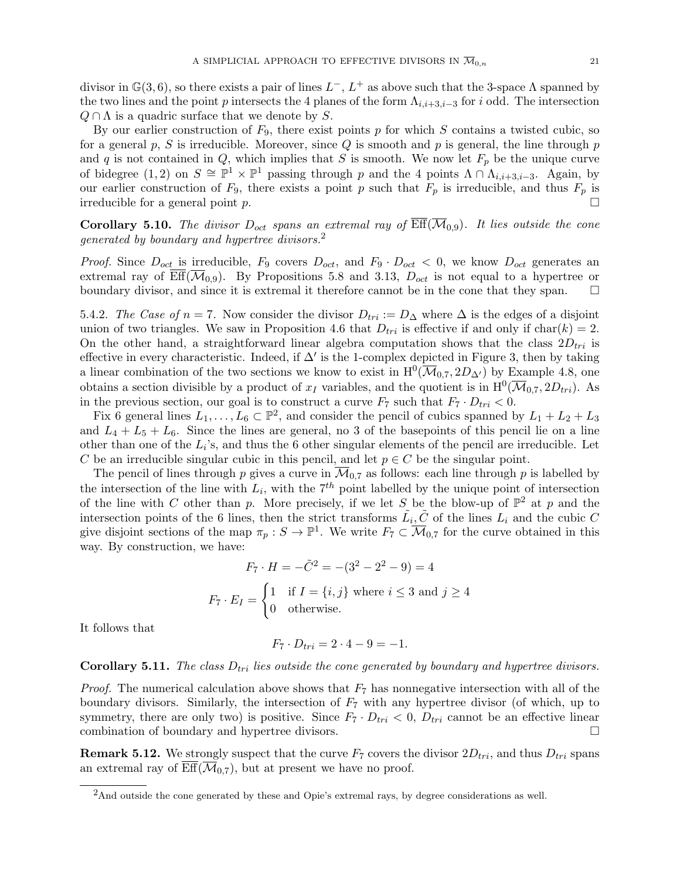divisor in  $\mathbb{G}(3,6)$ , so there exists a pair of lines  $L^-$ ,  $L^+$  as above such that the 3-space  $\Lambda$  spanned by the two lines and the point p intersects the 4 planes of the form  $\Lambda_{i,i+3,i-3}$  for i odd. The intersection  $Q \cap \Lambda$  is a quadric surface that we denote by S.

By our earlier construction of  $F_9$ , there exist points p for which S contains a twisted cubic, so for a general p, S is irreducible. Moreover, since  $Q$  is smooth and p is general, the line through p and q is not contained in Q, which implies that S is smooth. We now let  $F_p$  be the unique curve of bidegree  $(1, 2)$  on  $S \cong \mathbb{P}^1 \times \mathbb{P}^1$  passing through p and the 4 points  $\Lambda \cap \Lambda_{i,i+3,i-3}$ . Again, by our earlier construction of  $F_9$ , there exists a point p such that  $F_p$  is irreducible, and thus  $F_p$  is irreducible for a general point p.

**Corollary 5.10.** The divisor  $D_{oct}$  spans an extremal ray of  $\overline{\text{Eff}}(\overline{\mathcal{M}}_{0,9})$ . It lies outside the cone generated by boundary and hypertree divisors.<sup>2</sup>

*Proof.* Since  $D_{oct}$  is irreducible,  $F_9$  covers  $D_{oct}$ , and  $F_9 \cdot D_{oct} < 0$ , we know  $D_{oct}$  generates an extremal ray of  $\overline{\text{Eff}}(\overline{\mathcal{M}}_{0,9})$ . By Propositions 5.8 and 3.13,  $D_{oct}$  is not equal to a hypertree or boundary divisor, and since it is extremal it therefore cannot be in the cone that they span.  $\Box$ 

5.4.2. The Case of  $n = 7$ . Now consider the divisor  $D_{tri} := D_{\Delta}$  where  $\Delta$  is the edges of a disjoint union of two triangles. We saw in Proposition 4.6 that  $D_{tri}$  is effective if and only if char(k) = 2. On the other hand, a straightforward linear algebra computation shows that the class  $2D_{tri}$  is effective in every characteristic. Indeed, if  $\Delta'$  is the 1-complex depicted in Figure 3, then by taking a linear combination of the two sections we know to exist in  $H^0(\overline{\mathcal{M}}_{0,7}, 2D_{\Delta})$  by Example 4.8, one obtains a section divisible by a product of  $x_I$  variables, and the quotient is in  $H^0(\overline{\mathcal{M}}_{0,7}, 2D_{tri})$ . As in the previous section, our goal is to construct a curve  $F_7$  such that  $F_7 \cdot D_{tri} < 0$ .

Fix 6 general lines  $L_1, \ldots, L_6 \subset \mathbb{P}^2$ , and consider the pencil of cubics spanned by  $L_1 + L_2 + L_3$ and  $L_4 + L_5 + L_6$ . Since the lines are general, no 3 of the basepoints of this pencil lie on a line other than one of the  $L_i$ 's, and thus the 6 other singular elements of the pencil are irreducible. Let C be an irreducible singular cubic in this pencil, and let  $p \in C$  be the singular point.

The pencil of lines through p gives a curve in  $\mathcal{M}_{0,7}$  as follows: each line through p is labelled by the intersection of the line with  $L_i$ , with the  $7<sup>th</sup>$  point labelled by the unique point of intersection of the line with C other than p. More precisely, if we let S be the blow-up of  $\mathbb{P}^2$  at p and the intersection points of the 6 lines, then the strict transforms  $\tilde{L}_i$ ,  $\tilde{C}$  of the lines  $L_i$  and the cubic C give disjoint sections of the map  $\pi_p : S \to \mathbb{P}^1$ . We write  $F_7 \subset \overline{\mathcal{M}}_{0,7}$  for the curve obtained in this way. By construction, we have:

$$
F_7 \cdot H = -\tilde{C}^2 = -(3^2 - 2^2 - 9) = 4
$$
  

$$
F_7 \cdot E_I = \begin{cases} 1 & \text{if } I = \{i, j\} \text{ where } i \le 3 \text{ and } j \ge 4\\ 0 & \text{otherwise.} \end{cases}
$$

It follows that

$$
F_7 \cdot D_{tri} = 2 \cdot 4 - 9 = -1.
$$

## **Corollary 5.11.** The class  $D_{tri}$  lies outside the cone generated by boundary and hypertree divisors.

*Proof.* The numerical calculation above shows that  $F_7$  has nonnegative intersection with all of the boundary divisors. Similarly, the intersection of  $F<sub>7</sub>$  with any hypertree divisor (of which, up to symmetry, there are only two) is positive. Since  $F_7 \cdot D_{tri} < 0$ ,  $D_{tri}$  cannot be an effective linear combination of boundary and hypertree divisors.

**Remark 5.12.** We strongly suspect that the curve  $F_7$  covers the divisor  $2D_{tri}$ , and thus  $D_{tri}$  spans an extremal ray of  $\overline{\text{Eff}}(\overline{\mathcal{M}}_{0,7})$ , but at present we have no proof.

<sup>&</sup>lt;sup>2</sup>And outside the cone generated by these and Opie's extremal rays, by degree considerations as well.